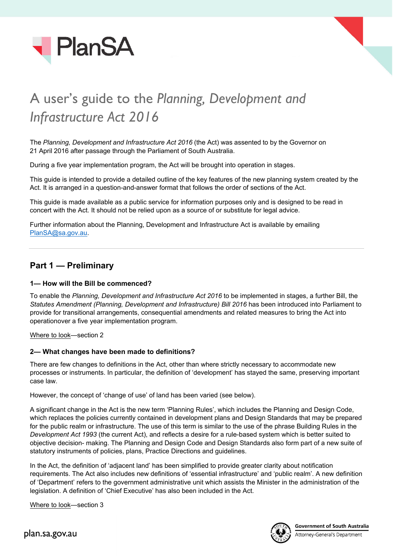



# A user's guide to the *Planning, Development and Infrastructure Act 2016*

The *Planning, Development and Infrastructure Act 2016* (the Act) was assented to by the Governor on 21 April 2016 after passage through the Parliament of South Australia.

During a five year implementation program, the Act will be brought into operation in stages.

This guide is intended to provide a detailed outline of the key features of the new planning system created by the Act. It is arranged in a question-and-answer format that follows the order of sections of the Act.

This guide is made available as a public service for information purposes only and is designed to be read in concert with the Act. It should not be relied upon as a source of or substitute for legal advice.

Further information about the Planning, Development and Infrastructure Act is available by emailing [PlanSA@sa.gov.au.](mailto:PlanSA@sa.gov.au)

# **Part 1 — Preliminary**

### **1— How will the Bill be commenced?**

To enable the *Planning, Development and Infrastructure Act 2016* to be implemented in stages, a further Bill, the *Statutes Amendment (Planning, Development and Infrastructure) Bill 2016* has been introduced into Parliament to provide for transitional arrangements, consequential amendments and related measures to bring the Act into operationover a five year implementation program.

Where to look—section 2

### **2— What changes have been made to definitions?**

There are few changes to definitions in the Act, other than where strictly necessary to accommodate new processes or instruments. In particular, the definition of 'development' has stayed the same, preserving important case law.

However, the concept of 'change of use' of land has been varied (see below).

A significant change in the Act is the new term 'Planning Rules', which includes the Planning and Design Code, which replaces the policies currently contained in development plans and Design Standards that may be prepared for the public realm or infrastructure. The use of this term is similar to the use of the phrase Building Rules in the *Development Act 1993* (the current Act), and reflects a desire for a rule-based system which is better suited to objective decision- making. The Planning and Design Code and Design Standards also form part of a new suite of statutory instruments of policies, plans, Practice Directions and guidelines.

In the Act, the definition of 'adjacent land' has been simplified to provide greater clarity about notification requirements. The Act also includes new definitions of 'essential infrastructure' and 'public realm'. A new definition of 'Department' refers to the government administrative unit which assists the Minister in the administration of the legislation. A definition of 'Chief Executive' has also been included in the Act.

Where to look—section 3

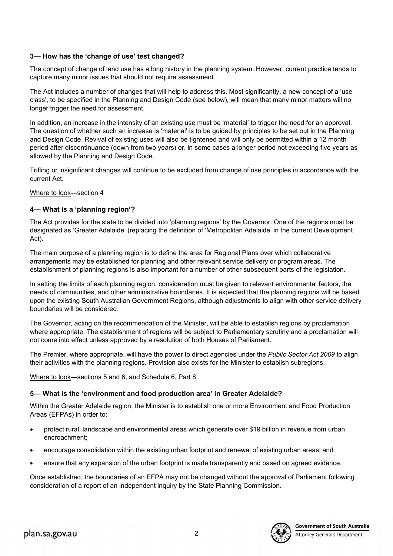# **3— How has the 'change of use' test changed?**

The concept of change of land use has a long history in the planning system. However, current practice tends to capture many minor issues that should not require assessment.

The Act includes a number of changes that will help to address this. Most significantly, a new concept of a 'use class', to be specified in the Planning and Design Code (see below), will mean that many minor matters will no longer trigger the need for assessment.

In addition, an increase in the intensity of an existing use must be 'material' to trigger the need for an approval. The question of whether such an increase is 'material' is to be guided by principles to be set out in the Planning and Design Code. Revival of existing uses will also be tightened and will only be permitted within a 12 month period after discontinuance (down from two years) or, in some cases a longer period not exceeding five years as allowed by the Planning and Design Code.

Trifling or insignificant changes will continue to be excluded from change of use principles in accordance with the current Act.

Where to look—section 4

# **4— What is a 'planning region'?**

The Act provides for the state to be divided into 'planning regions' by the Governor. One of the regions must be designated as 'Greater Adelaide' (replacing the definition of 'Metropolitan Adelaide' in the current Development Act).

The main purpose of a planning region is to define the area for Regional Plans over which collaborative arrangements may be established for planning and other relevant service delivery or program areas. The establishment of planning regions is also important for a number of other subsequent parts of the legislation.

In setting the limits of each planning region, consideration must be given to relevant environmental factors, the needs of communities, and other administrative boundaries. It is expected that the planning regions will be based upon the existing South Australian Government Regions, although adjustments to align with other service delivery boundaries will be considered.

The Governor, acting on the recommendation of the Minister, will be able to establish regions by proclamation where appropriate. The establishment of regions will be subject to Parliamentary scrutiny and a proclamation will not come into effect unless approved by a resolution of both Houses of Parliament.

The Premier, where appropriate, will have the power to direct agencies under the *Public Sector Act 2009* to align their activities with the planning regions. Provision also exists for the Minister to establish subregions.

Where to look—sections 5 and 6, and Schedule 6, Part 8

# **5— What is the 'environment and food production area' in Greater Adelaide?**

Within the Greater Adelaide region, the Minister is to establish one or more Environment and Food Production Areas (EFPAs) in order to:

- protect rural, landscape and environmental areas which generate over \$19 billion in revenue from urban encroachment;
- encourage consolidation within the existing urban footprint and renewal of existing urban areas; and
- ensure that any expansion of the urban footprint is made transparently and based on agreed evidence.

Once established, the boundaries of an EFPA may not be changed without the approval of Parliament following consideration of a report of an independent inquiry by the State Planning Commission.

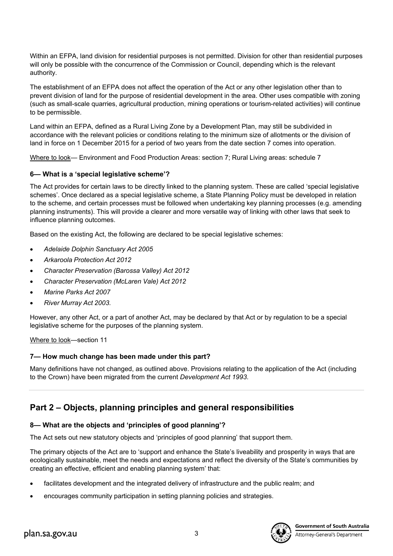Within an EFPA, land division for residential purposes is not permitted. Division for other than residential purposes will only be possible with the concurrence of the Commission or Council, depending which is the relevant authority.

The establishment of an EFPA does not affect the operation of the Act or any other legislation other than to prevent division of land for the purpose of residential development in the area. Other uses compatible with zoning (such as small-scale quarries, agricultural production, mining operations or tourism-related activities) will continue to be permissible.

Land within an EFPA, defined as a Rural Living Zone by a Development Plan, may still be subdivided in accordance with the relevant policies or conditions relating to the minimum size of allotments or the division of land in force on 1 December 2015 for a period of two years from the date section 7 comes into operation.

Where to look— Environment and Food Production Areas: section 7; Rural Living areas: schedule 7

# **6— What is a 'special legislative scheme'?**

The Act provides for certain laws to be directly linked to the planning system. These are called 'special legislative schemes'. Once declared as a special legislative scheme, a State Planning Policy must be developed in relation to the scheme, and certain processes must be followed when undertaking key planning processes (e.g. amending planning instruments). This will provide a clearer and more versatile way of linking with other laws that seek to influence planning outcomes.

Based on the existing Act, the following are declared to be special legislative schemes:

- *Adelaide Dolphin Sanctuary Act 2005*
- *Arkaroola Protection Act 2012*
- *Character Preservation (Barossa Valley) Act 2012*
- *Character Preservation (McLaren Vale) Act 2012*
- *Marine Parks Act 2007*
- *River Murray Act 2003.*

However, any other Act, or a part of another Act, may be declared by that Act or by regulation to be a special legislative scheme for the purposes of the planning system.

Where to look—section 11

### **7— How much change has been made under this part?**

Many definitions have not changed, as outlined above. Provisions relating to the application of the Act (including to the Crown) have been migrated from the current *Development Act 1993*.

# **Part 2 – Objects, planning principles and general responsibilities**

# **8— What are the objects and 'principles of good planning'?**

The Act sets out new statutory objects and 'principles of good planning' that support them.

The primary objects of the Act are to 'support and enhance the State's liveability and prosperity in ways that are ecologically sustainable, meet the needs and expectations and reflect the diversity of the State's communities by creating an effective, efficient and enabling planning system' that:

- facilitates development and the integrated delivery of infrastructure and the public realm; and
- encourages community participation in setting planning policies and strategies.

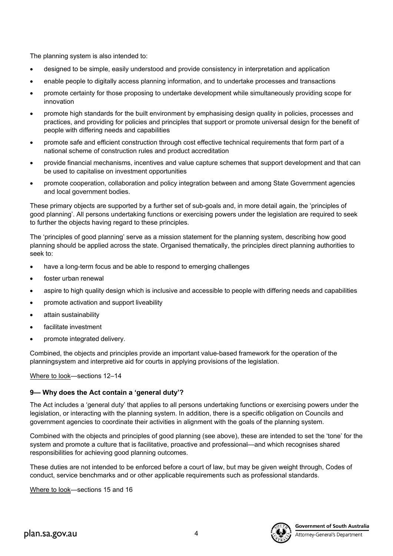The planning system is also intended to:

- designed to be simple, easily understood and provide consistency in interpretation and application
- enable people to digitally access planning information, and to undertake processes and transactions
- promote certainty for those proposing to undertake development while simultaneously providing scope for innovation
- promote high standards for the built environment by emphasising design quality in policies, processes and practices, and providing for policies and principles that support or promote universal design for the benefit of people with differing needs and capabilities
- promote safe and efficient construction through cost effective technical requirements that form part of a national scheme of construction rules and product accreditation
- provide financial mechanisms, incentives and value capture schemes that support development and that can be used to capitalise on investment opportunities
- promote cooperation, collaboration and policy integration between and among State Government agencies and local government bodies.

These primary objects are supported by a further set of sub-goals and, in more detail again, the 'principles of good planning'. All persons undertaking functions or exercising powers under the legislation are required to seek to further the objects having regard to these principles.

The 'principles of good planning' serve as a mission statement for the planning system, describing how good planning should be applied across the state. Organised thematically, the principles direct planning authorities to seek to:

- have a long-term focus and be able to respond to emerging challenges
- foster urban renewal
- aspire to high quality design which is inclusive and accessible to people with differing needs and capabilities
- promote activation and support liveability
- attain sustainability
- facilitate investment
- promote integrated delivery.

Combined, the objects and principles provide an important value-based framework for the operation of the planningsystem and interpretive aid for courts in applying provisions of the legislation.

Where to look—sections 12–14

# **9— Why does the Act contain a 'general duty'?**

The Act includes a 'general duty' that applies to all persons undertaking functions or exercising powers under the legislation, or interacting with the planning system. In addition, there is a specific obligation on Councils and government agencies to coordinate their activities in alignment with the goals of the planning system.

Combined with the objects and principles of good planning (see above), these are intended to set the 'tone' for the system and promote a culture that is facilitative, proactive and professional—and which recognises shared responsibilities for achieving good planning outcomes.

These duties are not intended to be enforced before a court of law, but may be given weight through, Codes of conduct, service benchmarks and or other applicable requirements such as professional standards.

Where to look—sections 15 and 16



Attorney-General's Department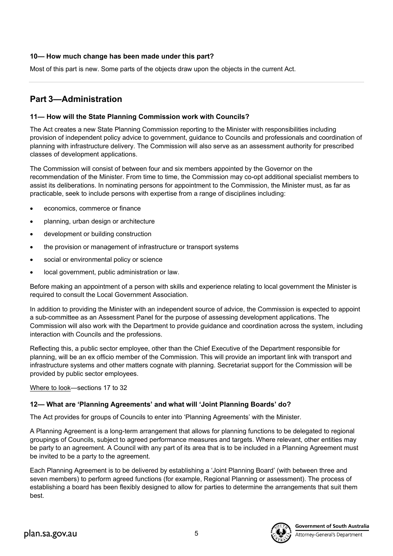# **10— How much change has been made under this part?**

Most of this part is new. Some parts of the objects draw upon the objects in the current Act.

# **Part 3—Administration**

### **11— How will the State Planning Commission work with Councils?**

The Act creates a new State Planning Commission reporting to the Minister with responsibilities including provision of independent policy advice to government, guidance to Councils and professionals and coordination of planning with infrastructure delivery. The Commission will also serve as an assessment authority for prescribed classes of development applications.

The Commission will consist of between four and six members appointed by the Governor on the recommendation of the Minister. From time to time, the Commission may co-opt additional specialist members to assist its deliberations. In nominating persons for appointment to the Commission, the Minister must, as far as practicable, seek to include persons with expertise from a range of disciplines including:

- economics, commerce or finance
- planning, urban design or architecture
- development or building construction
- the provision or management of infrastructure or transport systems
- social or environmental policy or science
- local government, public administration or law.

Before making an appointment of a person with skills and experience relating to local government the Minister is required to consult the Local Government Association.

In addition to providing the Minister with an independent source of advice, the Commission is expected to appoint a sub-committee as an Assessment Panel for the purpose of assessing development applications. The Commission will also work with the Department to provide guidance and coordination across the system, including interaction with Councils and the professions.

Reflecting this, a public sector employee, other than the Chief Executive of the Department responsible for planning, will be an ex officio member of the Commission. This will provide an important link with transport and infrastructure systems and other matters cognate with planning. Secretariat support for the Commission will be provided by public sector employees.

Where to look—sections 17 to 32

# **12— What are 'Planning Agreements' and what will 'Joint Planning Boards' do?**

The Act provides for groups of Councils to enter into 'Planning Agreements' with the Minister.

A Planning Agreement is a long-term arrangement that allows for planning functions to be delegated to regional groupings of Councils, subject to agreed performance measures and targets. Where relevant, other entities may be party to an agreement. A Council with any part of its area that is to be included in a Planning Agreement must be invited to be a party to the agreement.

Each Planning Agreement is to be delivered by establishing a 'Joint Planning Board' (with between three and seven members) to perform agreed functions (for example, Regional Planning or assessment). The process of establishing a board has been flexibly designed to allow for parties to determine the arrangements that suit them best.

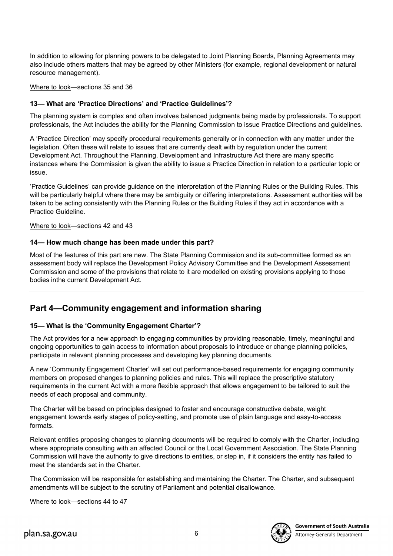In addition to allowing for planning powers to be delegated to Joint Planning Boards, Planning Agreements may also include others matters that may be agreed by other Ministers (for example, regional development or natural resource management).

Where to look—sections 35 and 36

### **13— What are 'Practice Directions' and 'Practice Guidelines'?**

The planning system is complex and often involves balanced judgments being made by professionals. To support professionals, the Act includes the ability for the Planning Commission to issue Practice Directions and guidelines.

A 'Practice Direction' may specify procedural requirements generally or in connection with any matter under the legislation. Often these will relate to issues that are currently dealt with by regulation under the current Development Act. Throughout the Planning, Development and Infrastructure Act there are many specific instances where the Commission is given the ability to issue a Practice Direction in relation to a particular topic or issue.

'Practice Guidelines' can provide guidance on the interpretation of the Planning Rules or the Building Rules. This will be particularly helpful where there may be ambiguity or differing interpretations. Assessment authorities will be taken to be acting consistently with the Planning Rules or the Building Rules if they act in accordance with a Practice Guideline.

### Where to look—sections 42 and 43

### **14— How much change has been made under this part?**

Most of the features of this part are new. The State Planning Commission and its sub-committee formed as an assessment body will replace the Development Policy Advisory Committee and the Development Assessment Commission and some of the provisions that relate to it are modelled on existing provisions applying to those bodies inthe current Development Act.

# **Part 4—Community engagement and information sharing**

# **15— What is the 'Community Engagement Charter'?**

The Act provides for a new approach to engaging communities by providing reasonable, timely, meaningful and ongoing opportunities to gain access to information about proposals to introduce or change planning policies, participate in relevant planning processes and developing key planning documents.

A new 'Community Engagement Charter' will set out performance-based requirements for engaging community members on proposed changes to planning policies and rules. This will replace the prescriptive statutory requirements in the current Act with a more flexible approach that allows engagement to be tailored to suit the needs of each proposal and community.

The Charter will be based on principles designed to foster and encourage constructive debate, weight engagement towards early stages of policy-setting, and promote use of plain language and easy-to-access formats.

Relevant entities proposing changes to planning documents will be required to comply with the Charter, including where appropriate consulting with an affected Council or the Local Government Association. The State Planning Commission will have the authority to give directions to entities, or step in, if it considers the entity has failed to meet the standards set in the Charter.

The Commission will be responsible for establishing and maintaining the Charter. The Charter, and subsequent amendments will be subject to the scrutiny of Parliament and potential disallowance.

Where to look—sections 44 to 47



**Government of South Australia** 

Attorney-General's Department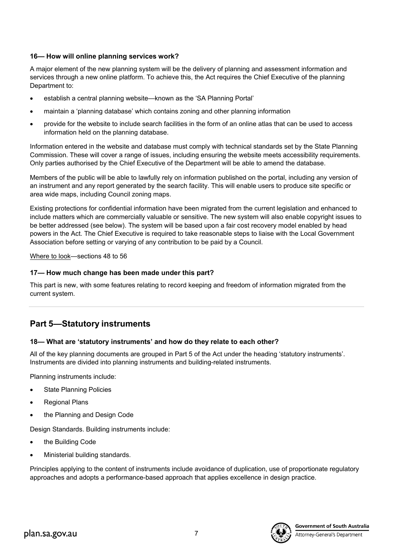# **16— How will online planning services work?**

A major element of the new planning system will be the delivery of planning and assessment information and services through a new online platform. To achieve this, the Act requires the Chief Executive of the planning Department to:

- establish a central planning website—known as the 'SA Planning Portal'
- maintain a 'planning database' which contains zoning and other planning information
- provide for the website to include search facilities in the form of an online atlas that can be used to access information held on the planning database.

Information entered in the website and database must comply with technical standards set by the State Planning Commission. These will cover a range of issues, including ensuring the website meets accessibility requirements. Only parties authorised by the Chief Executive of the Department will be able to amend the database.

Members of the public will be able to lawfully rely on information published on the portal, including any version of an instrument and any report generated by the search facility. This will enable users to produce site specific or area wide maps, including Council zoning maps.

Existing protections for confidential information have been migrated from the current legislation and enhanced to include matters which are commercially valuable or sensitive. The new system will also enable copyright issues to be better addressed (see below). The system will be based upon a fair cost recovery model enabled by head powers in the Act. The Chief Executive is required to take reasonable steps to liaise with the Local Government Association before setting or varying of any contribution to be paid by a Council.

Where to look—sections 48 to 56

### **17— How much change has been made under this part?**

This part is new, with some features relating to record keeping and freedom of information migrated from the current system.

# **Part 5—Statutory instruments**

### **18— What are 'statutory instruments' and how do they relate to each other?**

All of the key planning documents are grouped in Part 5 of the Act under the heading 'statutory instruments'. Instruments are divided into planning instruments and building-related instruments.

Planning instruments include:

- **State Planning Policies**
- **Regional Plans**
- the Planning and Design Code

Design Standards. Building instruments include:

- the Building Code
- Ministerial building standards.

Principles applying to the content of instruments include avoidance of duplication, use of proportionate regulatory approaches and adopts a performance-based approach that applies excellence in design practice.

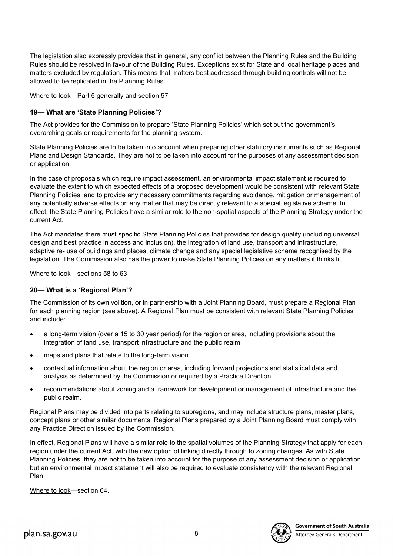The legislation also expressly provides that in general, any conflict between the Planning Rules and the Building Rules should be resolved in favour of the Building Rules. Exceptions exist for State and local heritage places and matters excluded by regulation. This means that matters best addressed through building controls will not be allowed to be replicated in the Planning Rules.

Where to look—Part 5 generally and section 57

# **19— What are 'State Planning Policies'?**

The Act provides for the Commission to prepare 'State Planning Policies' which set out the government's overarching goals or requirements for the planning system.

State Planning Policies are to be taken into account when preparing other statutory instruments such as Regional Plans and Design Standards. They are not to be taken into account for the purposes of any assessment decision or application.

In the case of proposals which require impact assessment, an environmental impact statement is required to evaluate the extent to which expected effects of a proposed development would be consistent with relevant State Planning Policies, and to provide any necessary commitments regarding avoidance, mitigation or management of any potentially adverse effects on any matter that may be directly relevant to a special legislative scheme. In effect, the State Planning Policies have a similar role to the non-spatial aspects of the Planning Strategy under the current Act.

The Act mandates there must specific State Planning Policies that provides for design quality (including universal design and best practice in access and inclusion), the integration of land use, transport and infrastructure, adaptive re- use of buildings and places, climate change and any special legislative scheme recognised by the legislation. The Commission also has the power to make State Planning Policies on any matters it thinks fit.

Where to look—sections 58 to 63

# **20— What is a 'Regional Plan'?**

The Commission of its own volition, or in partnership with a Joint Planning Board, must prepare a Regional Plan for each planning region (see above). A Regional Plan must be consistent with relevant State Planning Policies and include:

- a long-term vision (over a 15 to 30 year period) for the region or area, including provisions about the integration of land use, transport infrastructure and the public realm
- maps and plans that relate to the long-term vision
- contextual information about the region or area, including forward projections and statistical data and analysis as determined by the Commission or required by a Practice Direction
- recommendations about zoning and a framework for development or management of infrastructure and the public realm.

Regional Plans may be divided into parts relating to subregions, and may include structure plans, master plans, concept plans or other similar documents. Regional Plans prepared by a Joint Planning Board must comply with any Practice Direction issued by the Commission.

In effect, Regional Plans will have a similar role to the spatial volumes of the Planning Strategy that apply for each region under the current Act, with the new option of linking directly through to zoning changes. As with State Planning Policies, they are not to be taken into account for the purpose of any assessment decision or application, but an environmental impact statement will also be required to evaluate consistency with the relevant Regional Plan.

Where to look—section 64.

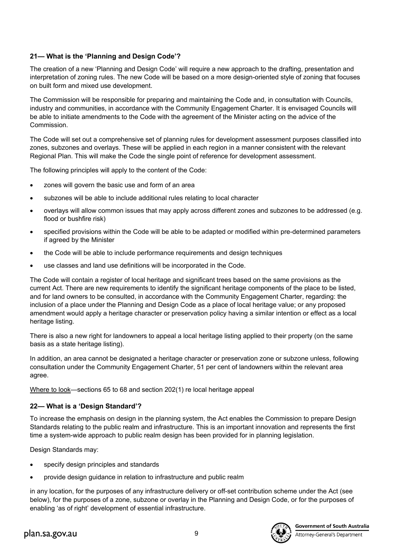# **21— What is the 'Planning and Design Code'?**

The creation of a new 'Planning and Design Code' will require a new approach to the drafting, presentation and interpretation of zoning rules. The new Code will be based on a more design-oriented style of zoning that focuses on built form and mixed use development.

The Commission will be responsible for preparing and maintaining the Code and, in consultation with Councils, industry and communities, in accordance with the Community Engagement Charter. It is envisaged Councils will be able to initiate amendments to the Code with the agreement of the Minister acting on the advice of the Commission.

The Code will set out a comprehensive set of planning rules for development assessment purposes classified into zones, subzones and overlays. These will be applied in each region in a manner consistent with the relevant Regional Plan. This will make the Code the single point of reference for development assessment.

The following principles will apply to the content of the Code:

- zones will govern the basic use and form of an area
- subzones will be able to include additional rules relating to local character
- overlays will allow common issues that may apply across different zones and subzones to be addressed (e.g. flood or bushfire risk)
- specified provisions within the Code will be able to be adapted or modified within pre-determined parameters if agreed by the Minister
- the Code will be able to include performance requirements and design techniques
- use classes and land use definitions will be incorporated in the Code.

The Code will contain a register of local heritage and significant trees based on the same provisions as the current Act. There are new requirements to identify the significant heritage components of the place to be listed, and for land owners to be consulted, in accordance with the Community Engagement Charter, regarding: the inclusion of a place under the Planning and Design Code as a place of local heritage value; or any proposed amendment would apply a heritage character or preservation policy having a similar intention or effect as a local heritage listing.

There is also a new right for landowners to appeal a local heritage listing applied to their property (on the same basis as a state heritage listing).

In addition, an area cannot be designated a heritage character or preservation zone or subzone unless, following consultation under the Community Engagement Charter, 51 per cent of landowners within the relevant area agree.

Where to look—sections 65 to 68 and section 202(1) re local heritage appeal

# **22— What is a 'Design Standard'?**

To increase the emphasis on design in the planning system, the Act enables the Commission to prepare Design Standards relating to the public realm and infrastructure. This is an important innovation and represents the first time a system-wide approach to public realm design has been provided for in planning legislation.

Design Standards may:

- specify design principles and standards
- provide design guidance in relation to infrastructure and public realm

in any location, for the purposes of any infrastructure delivery or off-set contribution scheme under the Act (see below), for the purposes of a zone, subzone or overlay in the Planning and Design Code, or for the purposes of enabling 'as of right' development of essential infrastructure.

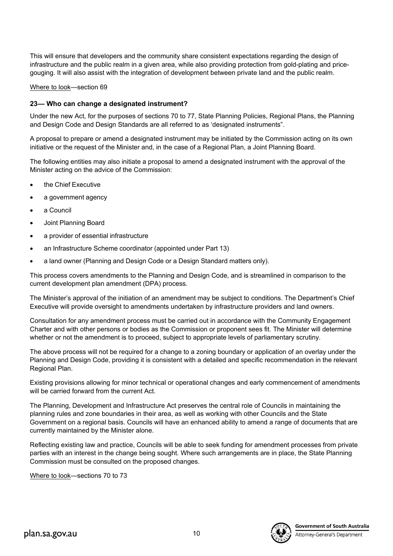This will ensure that developers and the community share consistent expectations regarding the design of infrastructure and the public realm in a given area, while also providing protection from gold-plating and pricegouging. It will also assist with the integration of development between private land and the public realm.

Where to look—section 69

### **23— Who can change a designated instrument?**

Under the new Act, for the purposes of sections 70 to 77, State Planning Policies, Regional Plans, the Planning and Design Code and Design Standards are all referred to as 'designated instruments".

A proposal to prepare or amend a designated instrument may be initiated by the Commission acting on its own initiative or the request of the Minister and, in the case of a Regional Plan, a Joint Planning Board.

The following entities may also initiate a proposal to amend a designated instrument with the approval of the Minister acting on the advice of the Commission:

- the Chief Executive
- a government agency
- a Council
- Joint Planning Board
- a provider of essential infrastructure
- an Infrastructure Scheme coordinator (appointed under Part 13)
- a land owner (Planning and Design Code or a Design Standard matters only).

This process covers amendments to the Planning and Design Code, and is streamlined in comparison to the current development plan amendment (DPA) process.

The Minister's approval of the initiation of an amendment may be subject to conditions. The Department's Chief Executive will provide oversight to amendments undertaken by infrastructure providers and land owners.

Consultation for any amendment process must be carried out in accordance with the Community Engagement Charter and with other persons or bodies as the Commission or proponent sees fit. The Minister will determine whether or not the amendment is to proceed, subject to appropriate levels of parliamentary scrutiny.

The above process will not be required for a change to a zoning boundary or application of an overlay under the Planning and Design Code, providing it is consistent with a detailed and specific recommendation in the relevant Regional Plan.

Existing provisions allowing for minor technical or operational changes and early commencement of amendments will be carried forward from the current Act.

The Planning, Development and Infrastructure Act preserves the central role of Councils in maintaining the planning rules and zone boundaries in their area, as well as working with other Councils and the State Government on a regional basis. Councils will have an enhanced ability to amend a range of documents that are currently maintained by the Minister alone.

Reflecting existing law and practice, Councils will be able to seek funding for amendment processes from private parties with an interest in the change being sought. Where such arrangements are in place, the State Planning Commission must be consulted on the proposed changes.

Where to look—sections 70 to 73

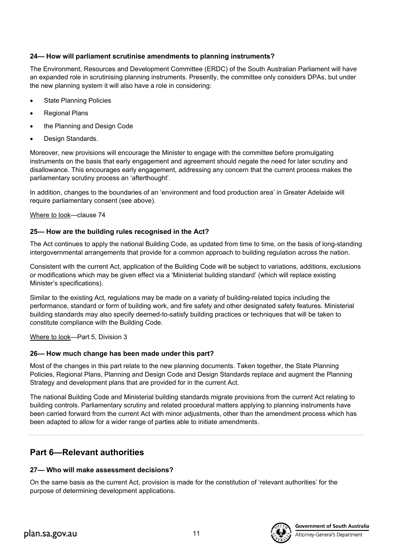# **24— How will parliament scrutinise amendments to planning instruments?**

The Environment, Resources and Development Committee (ERDC) of the South Australian Parliament will have an expanded role in scrutinising planning instruments. Presently, the committee only considers DPAs, but under the new planning system it will also have a role in considering:

- **State Planning Policies**
- **Regional Plans**
- the Planning and Design Code
- Design Standards.

Moreover, new provisions will encourage the Minister to engage with the committee before promulgating instruments on the basis that early engagement and agreement should negate the need for later scrutiny and disallowance. This encourages early engagement, addressing any concern that the current process makes the parliamentary scrutiny process an 'afterthought'.

In addition, changes to the boundaries of an 'environment and food production area' in Greater Adelaide will require parliamentary consent (see above).

### Where to look—clause 74

### **25— How are the building rules recognised in the Act?**

The Act continues to apply the national Building Code, as updated from time to time, on the basis of long-standing intergovernmental arrangements that provide for a common approach to building regulation across the nation.

Consistent with the current Act, application of the Building Code will be subject to variations, additions, exclusions or modifications which may be given effect via a 'Ministerial building standard' (which will replace existing Minister's specifications).

Similar to the existing Act, regulations may be made on a variety of building-related topics including the performance, standard or form of building work, and fire safety and other designated safety features. Ministerial building standards may also specify deemed-to-satisfy building practices or techniques that will be taken to constitute compliance with the Building Code.

Where to look—Part 5, Division 3

# **26— How much change has been made under this part?**

Most of the changes in this part relate to the new planning documents. Taken together, the State Planning Policies, Regional Plans, Planning and Design Code and Design Standards replace and augment the Planning Strategy and development plans that are provided for in the current Act.

The national Building Code and Ministerial building standards migrate provisions from the current Act relating to building controls. Parliamentary scrutiny and related procedural matters applying to planning instruments have been carried forward from the current Act with minor adjustments, other than the amendment process which has been adapted to allow for a wider range of parties able to initiate amendments.

# **Part 6—Relevant authorities**

# **27— Who will make assessment decisions?**

On the same basis as the current Act, provision is made for the constitution of 'relevant authorities' for the purpose of determining development applications.

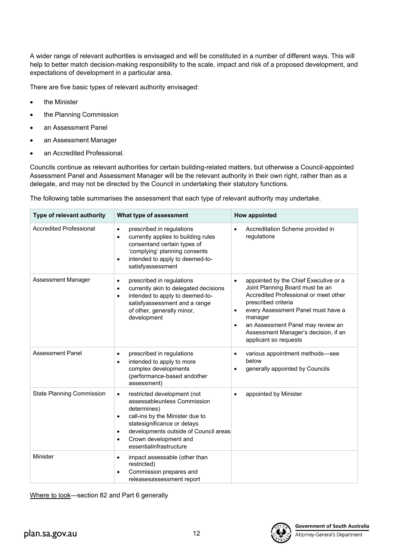A wider range of relevant authorities is envisaged and will be constituted in a number of different ways. This will help to better match decision-making responsibility to the scale, impact and risk of a proposed development, and expectations of development in a particular area.

There are five basic types of relevant authority envisaged:

- the Minister
- the Planning Commission
- an Assessment Panel
- an Assessment Manager
- an Accredited Professional.

Councils continue as relevant authorities for certain building-related matters, but otherwise a Council-appointed Assessment Panel and Assessment Manager will be the relevant authority in their own right, rather than as a delegate, and may not be directed by the Council in undertaking their statutory functions.

The following table summarises the assessment that each type of relevant authority may undertake.

| Type of relevant authority       | What type of assessment                                                                                                                                                                                                                                                              | <b>How appointed</b>                                                                                                                                                                                                                                                                                                                   |
|----------------------------------|--------------------------------------------------------------------------------------------------------------------------------------------------------------------------------------------------------------------------------------------------------------------------------------|----------------------------------------------------------------------------------------------------------------------------------------------------------------------------------------------------------------------------------------------------------------------------------------------------------------------------------------|
| <b>Accredited Professional</b>   | prescribed in regulations<br>$\bullet$<br>currently applies to building rules<br>$\bullet$<br>consentand certain types of<br>'complying' planning consents<br>intended to apply to deemed-to-<br>$\bullet$<br>satisfyassessment                                                      | Accreditation Scheme provided in<br>$\bullet$<br>regulations                                                                                                                                                                                                                                                                           |
| Assessment Manager               | prescribed in regulations<br>$\bullet$<br>currently akin to delegated decisions<br>$\bullet$<br>intended to apply to deemed-to-<br>$\bullet$<br>satisfyassessment and a range<br>of other, generally minor,<br>development                                                           | appointed by the Chief Executive or a<br>$\bullet$<br>Joint Planning Board must be an<br>Accredited Professional or meet other<br>prescribed criteria<br>every Assessment Panel must have a<br>$\bullet$<br>manager<br>an Assessment Panel may review an<br>$\bullet$<br>Assessment Manager's decision, if an<br>applicant so requests |
| <b>Assessment Panel</b>          | prescribed in regulations<br>$\bullet$<br>intended to apply to more<br>$\bullet$<br>complex developments<br>(performance-based andother<br>assessment)                                                                                                                               | various appointment methods-see<br>$\bullet$<br>below<br>generally appointed by Councils                                                                                                                                                                                                                                               |
| <b>State Planning Commission</b> | restricted development (not<br>$\bullet$<br>assessableunless Commission<br>determines)<br>call-ins by the Minister due to<br>٠<br>statesignificance or delays<br>developments outside of Council areas<br>$\bullet$<br>Crown development and<br>$\bullet$<br>essentialinfrastructure | appointed by Minister<br>$\bullet$                                                                                                                                                                                                                                                                                                     |
| Minister                         | impact assessable (other than<br>$\bullet$<br>restricted)<br>Commission prepares and<br>$\bullet$<br>releasesassessment report                                                                                                                                                       |                                                                                                                                                                                                                                                                                                                                        |

Where to look—section 82 and Part 6 generally

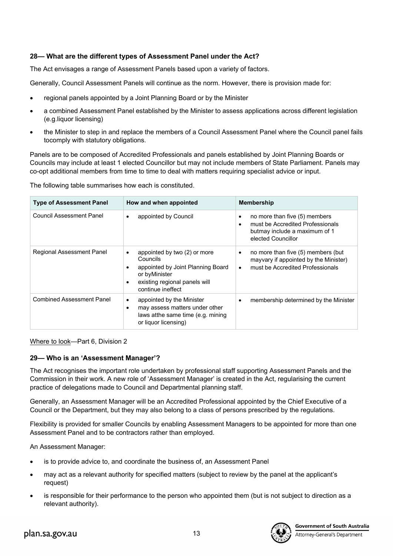# **28— What are the different types of Assessment Panel under the Act?**

The Act envisages a range of Assessment Panels based upon a variety of factors.

Generally, Council Assessment Panels will continue as the norm. However, there is provision made for:

- regional panels appointed by a Joint Planning Board or by the Minister
- a combined Assessment Panel established by the Minister to assess applications across different legislation (e.g.liquor licensing)
- the Minister to step in and replace the members of a Council Assessment Panel where the Council panel fails tocomply with statutory obligations.

Panels are to be composed of Accredited Professionals and panels established by Joint Planning Boards or Councils may include at least 1 elected Councillor but may not include members of State Parliament. Panels may co-opt additional members from time to time to deal with matters requiring specialist advice or input.

The following table summarises how each is constituted.

| <b>Type of Assessment Panel</b>  | How and when appointed                                                                                                                                                         | <b>Membership</b>                                                                                                                                  |
|----------------------------------|--------------------------------------------------------------------------------------------------------------------------------------------------------------------------------|----------------------------------------------------------------------------------------------------------------------------------------------------|
| <b>Council Assessment Panel</b>  | appointed by Council<br>٠                                                                                                                                                      | no more than five (5) members<br>$\bullet$<br>must be Accredited Professionals<br>$\bullet$<br>butmay include a maximum of 1<br>elected Councillor |
| Regional Assessment Panel        | appointed by two (2) or more<br>Councils<br>appointed by Joint Planning Board<br>$\bullet$<br>or byMinister<br>existing regional panels will<br>$\bullet$<br>continue ineffect | no more than five (5) members (but<br>$\bullet$<br>mayvary if appointed by the Minister)<br>must be Accredited Professionals<br>$\bullet$          |
| <b>Combined Assessment Panel</b> | appointed by the Minister<br>٠<br>may assess matters under other<br>$\bullet$<br>laws atthe same time (e.g. mining<br>or liquor licensing)                                     | membership determined by the Minister<br>٠                                                                                                         |

Where to look—Part 6, Division 2

# **29— Who is an 'Assessment Manager'?**

The Act recognises the important role undertaken by professional staff supporting Assessment Panels and the Commission in their work. A new role of 'Assessment Manager' is created in the Act, regularising the current practice of delegations made to Council and Departmental planning staff.

Generally, an Assessment Manager will be an Accredited Professional appointed by the Chief Executive of a Council or the Department, but they may also belong to a class of persons prescribed by the regulations.

Flexibility is provided for smaller Councils by enabling Assessment Managers to be appointed for more than one Assessment Panel and to be contractors rather than employed.

An Assessment Manager:

- is to provide advice to, and coordinate the business of, an Assessment Panel
- may act as a relevant authority for specified matters (subject to review by the panel at the applicant's request)
- is responsible for their performance to the person who appointed them (but is not subject to direction as a relevant authority).

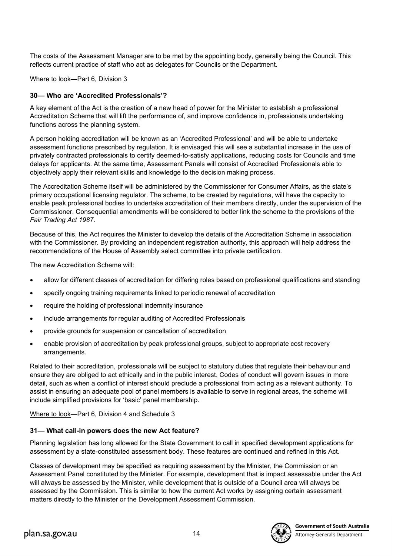The costs of the Assessment Manager are to be met by the appointing body, generally being the Council. This reflects current practice of staff who act as delegates for Councils or the Department.

Where to look—Part 6, Division 3

# **30— Who are 'Accredited Professionals'?**

A key element of the Act is the creation of a new head of power for the Minister to establish a professional Accreditation Scheme that will lift the performance of, and improve confidence in, professionals undertaking functions across the planning system.

A person holding accreditation will be known as an 'Accredited Professional' and will be able to undertake assessment functions prescribed by regulation. It is envisaged this will see a substantial increase in the use of privately contracted professionals to certify deemed-to-satisfy applications, reducing costs for Councils and time delays for applicants. At the same time, Assessment Panels will consist of Accredited Professionals able to objectively apply their relevant skills and knowledge to the decision making process.

The Accreditation Scheme itself will be administered by the Commissioner for Consumer Affairs, as the state's primary occupational licensing regulator. The scheme, to be created by regulations, will have the capacity to enable peak professional bodies to undertake accreditation of their members directly, under the supervision of the Commissioner. Consequential amendments will be considered to better link the scheme to the provisions of the *Fair Trading Act 1987*.

Because of this, the Act requires the Minister to develop the details of the Accreditation Scheme in association with the Commissioner. By providing an independent registration authority, this approach will help address the recommendations of the House of Assembly select committee into private certification.

The new Accreditation Scheme will:

- allow for different classes of accreditation for differing roles based on professional qualifications and standing
- specify ongoing training requirements linked to periodic renewal of accreditation
- require the holding of professional indemnity insurance
- include arrangements for regular auditing of Accredited Professionals
- provide grounds for suspension or cancellation of accreditation
- enable provision of accreditation by peak professional groups, subject to appropriate cost recovery arrangements.

Related to their accreditation, professionals will be subject to statutory duties that regulate their behaviour and ensure they are obliged to act ethically and in the public interest. Codes of conduct will govern issues in more detail, such as when a conflict of interest should preclude a professional from acting as a relevant authority. To assist in ensuring an adequate pool of panel members is available to serve in regional areas, the scheme will include simplified provisions for 'basic' panel membership.

Where to look—Part 6, Division 4 and Schedule 3

# **31— What call-in powers does the new Act feature?**

Planning legislation has long allowed for the State Government to call in specified development applications for assessment by a state-constituted assessment body. These features are continued and refined in this Act.

Classes of development may be specified as requiring assessment by the Minister, the Commission or an Assessment Panel constituted by the Minister. For example, development that is impact assessable under the Act will always be assessed by the Minister, while development that is outside of a Council area will always be assessed by the Commission. This is similar to how the current Act works by assigning certain assessment matters directly to the Minister or the Development Assessment Commission.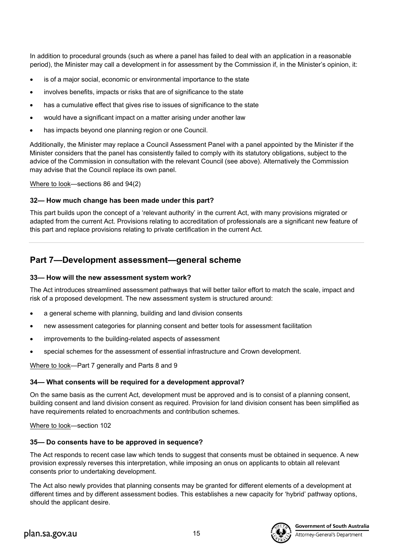In addition to procedural grounds (such as where a panel has failed to deal with an application in a reasonable period), the Minister may call a development in for assessment by the Commission if, in the Minister's opinion, it:

- is of a major social, economic or environmental importance to the state
- involves benefits, impacts or risks that are of significance to the state
- has a cumulative effect that gives rise to issues of significance to the state
- would have a significant impact on a matter arising under another law
- has impacts beyond one planning region or one Council.

Additionally, the Minister may replace a Council Assessment Panel with a panel appointed by the Minister if the Minister considers that the panel has consistently failed to comply with its statutory obligations, subject to the advice of the Commission in consultation with the relevant Council (see above). Alternatively the Commission may advise that the Council replace its own panel.

Where to look—sections 86 and 94(2)

### **32— How much change has been made under this part?**

This part builds upon the concept of a 'relevant authority' in the current Act, with many provisions migrated or adapted from the current Act. Provisions relating to accreditation of professionals are a significant new feature of this part and replace provisions relating to private certification in the current Act.

# **Part 7—Development assessment—general scheme**

#### **33— How will the new assessment system work?**

The Act introduces streamlined assessment pathways that will better tailor effort to match the scale, impact and risk of a proposed development. The new assessment system is structured around:

- a general scheme with planning, building and land division consents
- new assessment categories for planning consent and better tools for assessment facilitation
- improvements to the building-related aspects of assessment
- special schemes for the assessment of essential infrastructure and Crown development.

Where to look—Part 7 generally and Parts 8 and 9

### **34— What consents will be required for a development approval?**

On the same basis as the current Act, development must be approved and is to consist of a planning consent, building consent and land division consent as required. Provision for land division consent has been simplified as have requirements related to encroachments and contribution schemes.

Where to look—section 102

### **35— Do consents have to be approved in sequence?**

The Act responds to recent case law which tends to suggest that consents must be obtained in sequence. A new provision expressly reverses this interpretation, while imposing an onus on applicants to obtain all relevant consents prior to undertaking development.

The Act also newly provides that planning consents may be granted for different elements of a development at different times and by different assessment bodies. This establishes a new capacity for 'hybrid' pathway options, should the applicant desire.

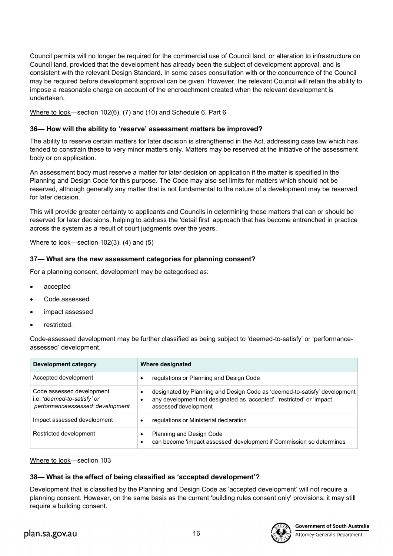Council permits will no longer be required for the commercial use of Council land, or alteration to infrastructure on Council land, provided that the development has already been the subject of development approval, and is consistent with the relevant Design Standard. In some cases consultation with or the concurrence of the Council may be required before development approval can be given. However, the relevant Council will retain the ability to impose a reasonable charge on account of the encroachment created when the relevant development is undertaken.

Where to look—section 102(6), (7) and (10) and Schedule 6, Part 6

### **36— How will the ability to 'reserve' assessment matters be improved?**

The ability to reserve certain matters for later decision is strengthened in the Act, addressing case law which has tended to constrain these to very minor matters only. Matters may be reserved at the initiative of the assessment body or on application.

An assessment body must reserve a matter for later decision on application if the matter is specified in the Planning and Design Code for this purpose. The Code may also set limits for matters which should not be reserved, although generally any matter that is not fundamental to the nature of a development may be reserved for later decision.

This will provide greater certainty to applicants and Councils in determining those matters that can or should be reserved for later decisions, helping to address the 'detail first' approach that has become entrenched in practice across the system as a result of court judgments over the years.

Where to look—section 102(3), (4) and (5)

### **37— What are the new assessment categories for planning consent?**

For a planning consent, development may be categorised as:

- accepted
- Code assessed
- impact assessed
- restricted.

Code-assessed development may be further classified as being subject to 'deemed-to-satisfy' or 'performanceassessed' development.

| <b>Development category</b>                                                                   | Where designated                                                                                                                                                                |
|-----------------------------------------------------------------------------------------------|---------------------------------------------------------------------------------------------------------------------------------------------------------------------------------|
| Accepted development                                                                          | regulations or Planning and Design Code<br>٠                                                                                                                                    |
| Code assessed development<br>i.e. 'deemed-to-satisfy' or<br>'performanceassessed' development | designated by Planning and Design Code as 'deemed-to-satisfy' development<br>٠<br>any development not designated as 'accepted', 'restricted' or 'impact<br>assessed'development |
| Impact assessed development                                                                   | regulations or Ministerial declaration                                                                                                                                          |
| Restricted development                                                                        | Planning and Design Code<br>٠<br>can become 'impact assessed' development if Commission so determines<br>٠                                                                      |

Where to look—section 103

# **38— What is the effect of being classified as 'accepted development'?**

Development that is classified by the Planning and Design Code as 'accepted development' will not require a planning consent. However, on the same basis as the current 'building rules consent only' provisions, it may still require a building consent.

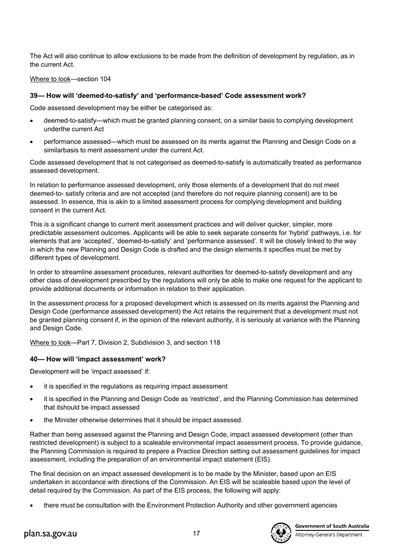The Act will also continue to allow exclusions to be made from the definition of development by regulation, as in the current Act.

Where to look—section 104

### **39— How will 'deemed-to-satisfy' and 'performance-based' Code assessment work?**

Code assessed development may be either be categorised as:

- deemed-to-satisfy—which must be granted planning consent, on a similar basis to complying development underthe current Act
- performance assessed—which must be assessed on its merits against the Planning and Design Code on a similarbasis to merit assessment under the current Act.

Code assessed development that is not categorised as deemed-to-satisfy is automatically treated as performance assessed development.

In relation to performance assessed development, only those elements of a development that do not meet deemed-to- satisfy criteria and are not accepted (and therefore do not require planning consent) are to be assessed. In essence, this is akin to a limited assessment process for complying development and building consent in the current Act.

This is a significant change to current merit assessment practices and will deliver quicker, simpler, more predictable assessment outcomes. Applicants will be able to seek separate consents for 'hybrid' pathways, i.e. for elements that are 'accepted', 'deemed-to-satisfy' and 'performance assessed'. It will be closely linked to the way in which the new Planning and Design Code is drafted and the design elements it specifies must be met by different types of development.

In order to streamline assessment procedures, relevant authorities for deemed-to-satisfy development and any other class of development prescribed by the regulations will only be able to make one request for the applicant to provide additional documents or information in relation to their application.

In the assessment process for a proposed development which is assessed on its merits against the Planning and Design Code (performance assessed development) the Act retains the requirement that a development must not be granted planning consent if, in the opinion of the relevant authority, it is seriously at variance with the Planning and Design Code.

Where to look—Part 7, Division 2, Subdivision 3, and section 118

### **40— How will 'impact assessment' work?**

Development will be 'impact assessed' if:

- it is specified in the regulations as requiring impact assessment
- it is specified in the Planning and Design Code as 'restricted', and the Planning Commission has determined that itshould be impact assessed
- the Minister otherwise determines that it should be impact assessed.

Rather than being assessed against the Planning and Design Code, impact assessed development (other than restricted development) is subject to a scaleable environmental impact assessment process. To provide guidance, the Planning Commission is required to prepare a Practice Direction setting out assessment guidelines for impact assessment, including the preparation of an environmental impact statement (EIS).

The final decision on an impact assessed development is to be made by the Minister, based upon an EIS undertaken in accordance with directions of the Commission. An EIS will be scaleable based upon the level of detail required by the Commission. As part of the EIS process, the following will apply:

• there must be consultation with the Environment Protection Authority and other government agencies

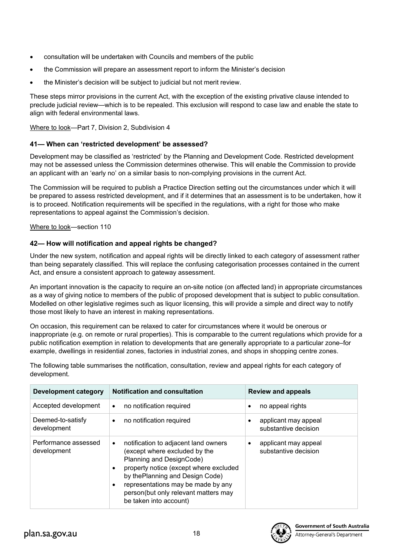- consultation will be undertaken with Councils and members of the public
- the Commission will prepare an assessment report to inform the Minister's decision
- the Minister's decision will be subject to judicial but not merit review.

These steps mirror provisions in the current Act, with the exception of the existing privative clause intended to preclude judicial review—which is to be repealed. This exclusion will respond to case law and enable the state to align with federal environmental laws.

Where to look—Part 7, Division 2, Subdivision 4

### **41— When can 'restricted development' be assessed?**

Development may be classified as 'restricted' by the Planning and Development Code. Restricted development may not be assessed unless the Commission determines otherwise. This will enable the Commission to provide an applicant with an 'early no' on a similar basis to non-complying provisions in the current Act.

The Commission will be required to publish a Practice Direction setting out the circumstances under which it will be prepared to assess restricted development, and if it determines that an assessment is to be undertaken, how it is to proceed. Notification requirements will be specified in the regulations, with a right for those who make representations to appeal against the Commission's decision.

Where to look—section 110

### **42— How will notification and appeal rights be changed?**

Under the new system, notification and appeal rights will be directly linked to each category of assessment rather than being separately classified. This will replace the confusing categorisation processes contained in the current Act, and ensure a consistent approach to gateway assessment.

An important innovation is the capacity to require an on-site notice (on affected land) in appropriate circumstances as a way of giving notice to members of the public of proposed development that is subject to public consultation. Modelled on other legislative regimes such as liquor licensing, this will provide a simple and direct way to notify those most likely to have an interest in making representations.

On occasion, this requirement can be relaxed to cater for circumstances where it would be onerous or inappropriate (e.g. on remote or rural properties). This is comparable to the current regulations which provide for a public notification exemption in relation to developments that are generally appropriate to a particular zone–for example, dwellings in residential zones, factories in industrial zones, and shops in shopping centre zones.

The following table summarises the notification, consultation, review and appeal rights for each category of development.

| <b>Development category</b>         | <b>Notification and consultation</b>                                                                                                                                                                                                                                                                                          | <b>Review and appeals</b>                                 |
|-------------------------------------|-------------------------------------------------------------------------------------------------------------------------------------------------------------------------------------------------------------------------------------------------------------------------------------------------------------------------------|-----------------------------------------------------------|
| Accepted development                | no notification required<br>$\bullet$                                                                                                                                                                                                                                                                                         | no appeal rights<br>٠                                     |
| Deemed-to-satisfy<br>development    | no notification required<br>$\bullet$                                                                                                                                                                                                                                                                                         | applicant may appeal<br>substantive decision              |
| Performance assessed<br>development | notification to adjacent land owners<br>$\bullet$<br>(except where excluded by the<br>Planning and DesignCode)<br>property notice (except where excluded<br>$\bullet$<br>by thePlanning and Design Code)<br>representations may be made by any<br>$\bullet$<br>person(but only relevant matters may<br>be taken into account) | applicant may appeal<br>$\bullet$<br>substantive decision |

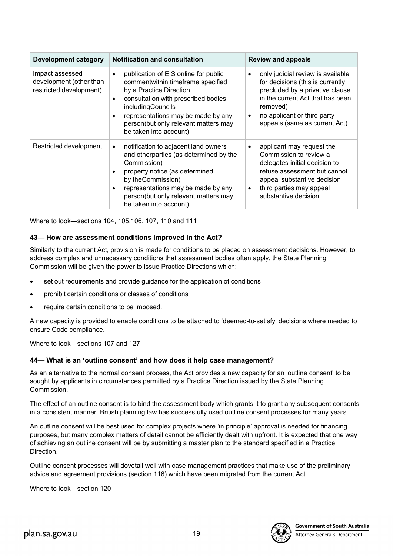| <b>Development category</b>                                           | <b>Notification and consultation</b>                                                                                                                                                                                                                                          | <b>Review and appeals</b>                                                                                                                                                                                                     |
|-----------------------------------------------------------------------|-------------------------------------------------------------------------------------------------------------------------------------------------------------------------------------------------------------------------------------------------------------------------------|-------------------------------------------------------------------------------------------------------------------------------------------------------------------------------------------------------------------------------|
| Impact assessed<br>development (other than<br>restricted development) | publication of EIS online for public<br>commentwithin timeframe specified<br>by a Practice Direction<br>consultation with prescribed bodies<br>٠<br>includingCouncils<br>representations may be made by any<br>person(but only relevant matters may<br>be taken into account) | only judicial review is available<br>for decisions (this is currently<br>precluded by a privative clause<br>in the current Act that has been<br>removed)<br>no applicant or third party<br>٠<br>appeals (same as current Act) |
| Restricted development                                                | notification to adjacent land owners<br>٠<br>and otherparties (as determined by the<br>Commission)<br>property notice (as determined<br>by the Commission)<br>representations may be made by any<br>٠<br>person(but only relevant matters may<br>be taken into account)       | applicant may request the<br>٠<br>Commission to review a<br>delegates initial decision to<br>refuse assessment but cannot<br>appeal substantive decision<br>third parties may appeal<br>$\bullet$<br>substantive decision     |

Where to look—sections 104, 105,106, 107, 110 and 111

# **43— How are assessment conditions improved in the Act?**

Similarly to the current Act, provision is made for conditions to be placed on assessment decisions. However, to address complex and unnecessary conditions that assessment bodies often apply, the State Planning Commission will be given the power to issue Practice Directions which:

- set out requirements and provide guidance for the application of conditions
- prohibit certain conditions or classes of conditions
- require certain conditions to be imposed.

A new capacity is provided to enable conditions to be attached to 'deemed-to-satisfy' decisions where needed to ensure Code compliance.

Where to look—sections 107 and 127

### **44— What is an 'outline consent' and how does it help case management?**

As an alternative to the normal consent process, the Act provides a new capacity for an 'outline consent' to be sought by applicants in circumstances permitted by a Practice Direction issued by the State Planning Commission.

The effect of an outline consent is to bind the assessment body which grants it to grant any subsequent consents in a consistent manner. British planning law has successfully used outline consent processes for many years.

An outline consent will be best used for complex projects where 'in principle' approval is needed for financing purposes, but many complex matters of detail cannot be efficiently dealt with upfront. It is expected that one way of achieving an outline consent will be by submitting a master plan to the standard specified in a Practice Direction.

Outline consent processes will dovetail well with case management practices that make use of the preliminary advice and agreement provisions (section 116) which have been migrated from the current Act.

Where to look—section 120

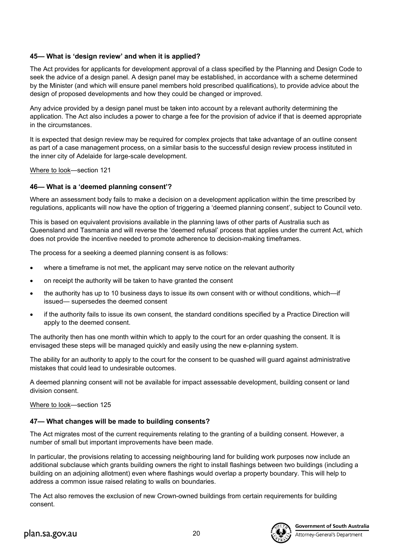# **45— What is 'design review' and when it is applied?**

The Act provides for applicants for development approval of a class specified by the Planning and Design Code to seek the advice of a design panel. A design panel may be established, in accordance with a scheme determined by the Minister (and which will ensure panel members hold prescribed qualifications), to provide advice about the design of proposed developments and how they could be changed or improved.

Any advice provided by a design panel must be taken into account by a relevant authority determining the application. The Act also includes a power to charge a fee for the provision of advice if that is deemed appropriate in the circumstances.

It is expected that design review may be required for complex projects that take advantage of an outline consent as part of a case management process, on a similar basis to the successful design review process instituted in the inner city of Adelaide for large-scale development.

Where to look—section 121

# **46— What is a 'deemed planning consent'?**

Where an assessment body fails to make a decision on a development application within the time prescribed by regulations, applicants will now have the option of triggering a 'deemed planning consent', subject to Council veto.

This is based on equivalent provisions available in the planning laws of other parts of Australia such as Queensland and Tasmania and will reverse the 'deemed refusal' process that applies under the current Act, which does not provide the incentive needed to promote adherence to decision-making timeframes.

The process for a seeking a deemed planning consent is as follows:

- where a timeframe is not met, the applicant may serve notice on the relevant authority
- on receipt the authority will be taken to have granted the consent
- the authority has up to 10 business days to issue its own consent with or without conditions, which—if issued— supersedes the deemed consent
- if the authority fails to issue its own consent, the standard conditions specified by a Practice Direction will apply to the deemed consent.

The authority then has one month within which to apply to the court for an order quashing the consent. It is envisaged these steps will be managed quickly and easily using the new e-planning system.

The ability for an authority to apply to the court for the consent to be quashed will guard against administrative mistakes that could lead to undesirable outcomes.

A deemed planning consent will not be available for impact assessable development, building consent or land division consent.

Where to look—section 125

# **47— What changes will be made to building consents?**

The Act migrates most of the current requirements relating to the granting of a building consent. However, a number of small but important improvements have been made.

In particular, the provisions relating to accessing neighbouring land for building work purposes now include an additional subclause which grants building owners the right to install flashings between two buildings (including a building on an adjoining allotment) even where flashings would overlap a property boundary. This will help to address a common issue raised relating to walls on boundaries.

The Act also removes the exclusion of new Crown-owned buildings from certain requirements for building consent.

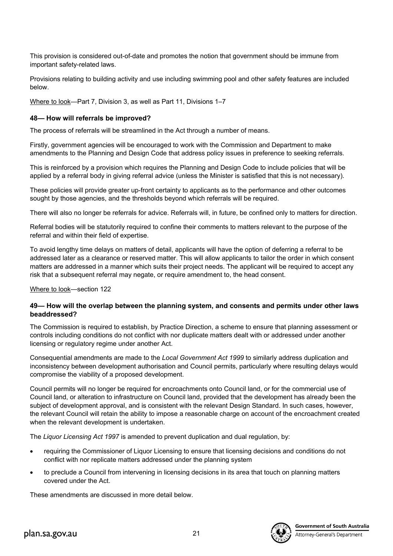This provision is considered out-of-date and promotes the notion that government should be immune from important safety-related laws.

Provisions relating to building activity and use including swimming pool and other safety features are included below.

Where to look—Part 7, Division 3, as well as Part 11, Divisions 1–7

### **48— How will referrals be improved?**

The process of referrals will be streamlined in the Act through a number of means.

Firstly, government agencies will be encouraged to work with the Commission and Department to make amendments to the Planning and Design Code that address policy issues in preference to seeking referrals.

This is reinforced by a provision which requires the Planning and Design Code to include policies that will be applied by a referral body in giving referral advice (unless the Minister is satisfied that this is not necessary).

These policies will provide greater up-front certainty to applicants as to the performance and other outcomes sought by those agencies, and the thresholds beyond which referrals will be required.

There will also no longer be referrals for advice. Referrals will, in future, be confined only to matters for direction.

Referral bodies will be statutorily required to confine their comments to matters relevant to the purpose of the referral and within their field of expertise.

To avoid lengthy time delays on matters of detail, applicants will have the option of deferring a referral to be addressed later as a clearance or reserved matter. This will allow applicants to tailor the order in which consent matters are addressed in a manner which suits their project needs. The applicant will be required to accept any risk that a subsequent referral may negate, or require amendment to, the head consent.

Where to look—section 122

### **49— How will the overlap between the planning system, and consents and permits under other laws beaddressed?**

The Commission is required to establish, by Practice Direction, a scheme to ensure that planning assessment or controls including conditions do not conflict with nor duplicate matters dealt with or addressed under another licensing or regulatory regime under another Act.

Consequential amendments are made to the *Local Government Act 1999* to similarly address duplication and inconsistency between development authorisation and Council permits, particularly where resulting delays would compromise the viability of a proposed development.

Council permits will no longer be required for encroachments onto Council land, or for the commercial use of Council land, or alteration to infrastructure on Council land, provided that the development has already been the subject of development approval, and is consistent with the relevant Design Standard. In such cases, however, the relevant Council will retain the ability to impose a reasonable charge on account of the encroachment created when the relevant development is undertaken.

The *Liquor Licensing Act 1997* is amended to prevent duplication and dual regulation, by:

- requiring the Commissioner of Liquor Licensing to ensure that licensing decisions and conditions do not conflict with nor replicate matters addressed under the planning system
- to preclude a Council from intervening in licensing decisions in its area that touch on planning matters covered under the Act.

These amendments are discussed in more detail below.

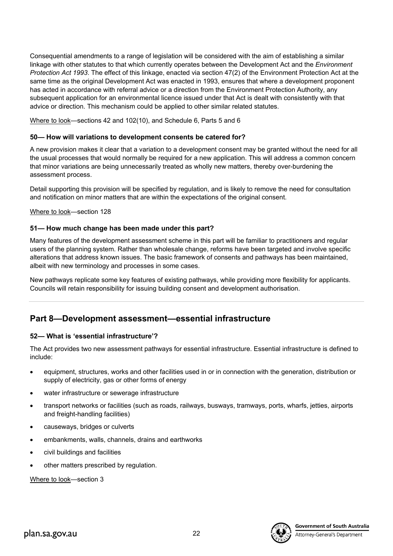Consequential amendments to a range of legislation will be considered with the aim of establishing a similar linkage with other statutes to that which currently operates between the Development Act and the *Environment Protection Act 1993*. The effect of this linkage, enacted via section 47(2) of the Environment Protection Act at the same time as the original Development Act was enacted in 1993, ensures that where a development proponent has acted in accordance with referral advice or a direction from the Environment Protection Authority, any subsequent application for an environmental licence issued under that Act is dealt with consistently with that advice or direction. This mechanism could be applied to other similar related statutes.

Where to look—sections 42 and 102(10), and Schedule 6, Parts 5 and 6

### **50— How will variations to development consents be catered for?**

A new provision makes it clear that a variation to a development consent may be granted without the need for all the usual processes that would normally be required for a new application. This will address a common concern that minor variations are being unnecessarily treated as wholly new matters, thereby over-burdening the assessment process.

Detail supporting this provision will be specified by regulation, and is likely to remove the need for consultation and notification on minor matters that are within the expectations of the original consent.

Where to look—section 128

### **51— How much change has been made under this part?**

Many features of the development assessment scheme in this part will be familiar to practitioners and regular users of the planning system. Rather than wholesale change, reforms have been targeted and involve specific alterations that address known issues. The basic framework of consents and pathways has been maintained, albeit with new terminology and processes in some cases.

New pathways replicate some key features of existing pathways, while providing more flexibility for applicants. Councils will retain responsibility for issuing building consent and development authorisation.

# **Part 8—Development assessment—essential infrastructure**

### **52— What is 'essential infrastructure'?**

The Act provides two new assessment pathways for essential infrastructure. Essential infrastructure is defined to include:

- equipment, structures, works and other facilities used in or in connection with the generation, distribution or supply of electricity, gas or other forms of energy
- water infrastructure or sewerage infrastructure
- transport networks or facilities (such as roads, railways, busways, tramways, ports, wharfs, jetties, airports and freight-handling facilities)
- causeways, bridges or culverts
- embankments, walls, channels, drains and earthworks
- civil buildings and facilities
- other matters prescribed by regulation.

Where to look—section 3

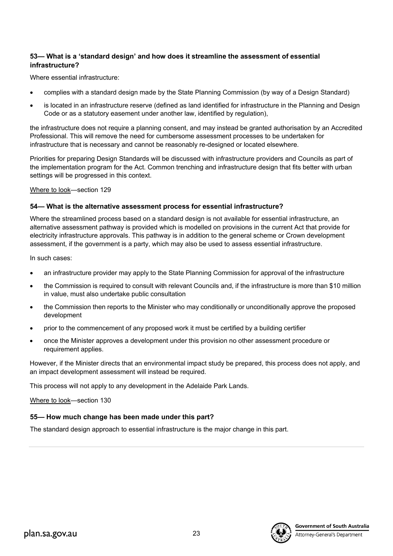# **53— What is a 'standard design' and how does it streamline the assessment of essential infrastructure?**

Where essential infrastructure:

- complies with a standard design made by the State Planning Commission (by way of a Design Standard)
- is located in an infrastructure reserve (defined as land identified for infrastructure in the Planning and Design Code or as a statutory easement under another law, identified by regulation),

the infrastructure does not require a planning consent, and may instead be granted authorisation by an Accredited Professional. This will remove the need for cumbersome assessment processes to be undertaken for infrastructure that is necessary and cannot be reasonably re-designed or located elsewhere.

Priorities for preparing Design Standards will be discussed with infrastructure providers and Councils as part of the implementation program for the Act. Common trenching and infrastructure design that fits better with urban settings will be progressed in this context.

Where to look—section 129

# **54— What is the alternative assessment process for essential infrastructure?**

Where the streamlined process based on a standard design is not available for essential infrastructure, an alternative assessment pathway is provided which is modelled on provisions in the current Act that provide for electricity infrastructure approvals. This pathway is in addition to the general scheme or Crown development assessment, if the government is a party, which may also be used to assess essential infrastructure.

In such cases:

- an infrastructure provider may apply to the State Planning Commission for approval of the infrastructure
- the Commission is required to consult with relevant Councils and, if the infrastructure is more than \$10 million in value, must also undertake public consultation
- the Commission then reports to the Minister who may conditionally or unconditionally approve the proposed development
- prior to the commencement of any proposed work it must be certified by a building certifier
- once the Minister approves a development under this provision no other assessment procedure or requirement applies.

However, if the Minister directs that an environmental impact study be prepared, this process does not apply, and an impact development assessment will instead be required.

This process will not apply to any development in the Adelaide Park Lands.

Where to look—section 130

# **55— How much change has been made under this part?**

The standard design approach to essential infrastructure is the major change in this part.



Attorney-General's Department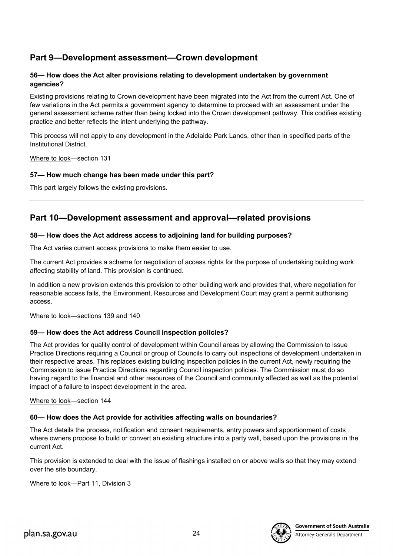# **Part 9—Development assessment—Crown development**

# **56— How does the Act alter provisions relating to development undertaken by government agencies?**

Existing provisions relating to Crown development have been migrated into the Act from the current Act. One of few variations in the Act permits a government agency to determine to proceed with an assessment under the general assessment scheme rather than being locked into the Crown development pathway. This codifies existing practice and better reflects the intent underlying the pathway.

This process will not apply to any development in the Adelaide Park Lands, other than in specified parts of the Institutional District.

Where to look—section 131

# **57— How much change has been made under this part?**

This part largely follows the existing provisions.

# **Part 10—Development assessment and approval—related provisions**

# **58— How does the Act address access to adjoining land for building purposes?**

The Act varies current access provisions to make them easier to use.

The current Act provides a scheme for negotiation of access rights for the purpose of undertaking building work affecting stability of land. This provision is continued.

In addition a new provision extends this provision to other building work and provides that, where negotiation for reasonable access fails, the Environment, Resources and Development Court may grant a permit authorising access.

Where to look—sections 139 and 140

# **59— How does the Act address Council inspection policies?**

The Act provides for quality control of development within Council areas by allowing the Commission to issue Practice Directions requiring a Council or group of Councils to carry out inspections of development undertaken in their respective areas. This replaces existing building inspection policies in the current Act, newly requiring the Commission to issue Practice Directions regarding Council inspection policies. The Commission must do so having regard to the financial and other resources of the Council and community affected as well as the potential impact of a failure to inspect development in the area.

# Where to look—section 144

# **60— How does the Act provide for activities affecting walls on boundaries?**

The Act details the process, notification and consent requirements, entry powers and apportionment of costs where owners propose to build or convert an existing structure into a party wall, based upon the provisions in the current Act.

This provision is extended to deal with the issue of flashings installed on or above walls so that they may extend over the site boundary.

Where to look—Part 11, Division 3

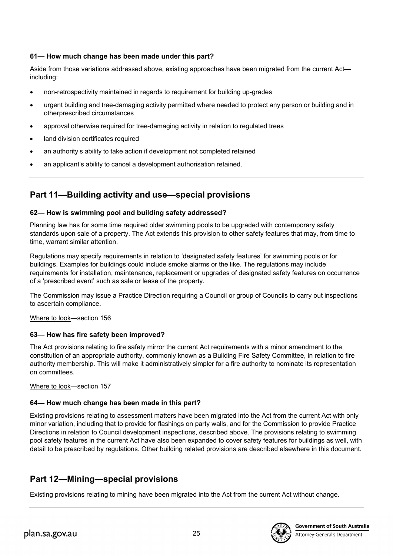# **61— How much change has been made under this part?**

Aside from those variations addressed above, existing approaches have been migrated from the current Act including:

- non-retrospectivity maintained in regards to requirement for building up-grades
- urgent building and tree-damaging activity permitted where needed to protect any person or building and in otherprescribed circumstances
- approval otherwise required for tree-damaging activity in relation to regulated trees
- land division certificates required
- an authority's ability to take action if development not completed retained
- an applicant's ability to cancel a development authorisation retained.

# **Part 11—Building activity and use—special provisions**

# **62— How is swimming pool and building safety addressed?**

Planning law has for some time required older swimming pools to be upgraded with contemporary safety standards upon sale of a property. The Act extends this provision to other safety features that may, from time to time, warrant similar attention.

Regulations may specify requirements in relation to 'designated safety features' for swimming pools or for buildings. Examples for buildings could include smoke alarms or the like. The regulations may include requirements for installation, maintenance, replacement or upgrades of designated safety features on occurrence of a 'prescribed event' such as sale or lease of the property.

The Commission may issue a Practice Direction requiring a Council or group of Councils to carry out inspections to ascertain compliance.

Where to look—section 156

# **63— How has fire safety been improved?**

The Act provisions relating to fire safety mirror the current Act requirements with a minor amendment to the constitution of an appropriate authority, commonly known as a Building Fire Safety Committee, in relation to fire authority membership. This will make it administratively simpler for a fire authority to nominate its representation on committees.

Where to look—section 157

# **64— How much change has been made in this part?**

Existing provisions relating to assessment matters have been migrated into the Act from the current Act with only minor variation, including that to provide for flashings on party walls, and for the Commission to provide Practice Directions in relation to Council development inspections, described above. The provisions relating to swimming pool safety features in the current Act have also been expanded to cover safety features for buildings as well, with detail to be prescribed by regulations. Other building related provisions are described elsewhere in this document.

# **Part 12—Mining—special provisions**

Existing provisions relating to mining have been migrated into the Act from the current Act without change.

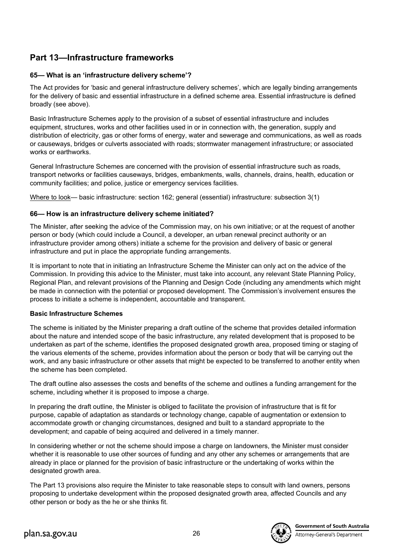# **Part 13—Infrastructure frameworks**

# **65— What is an 'infrastructure delivery scheme'?**

The Act provides for 'basic and general infrastructure delivery schemes', which are legally binding arrangements for the delivery of basic and essential infrastructure in a defined scheme area. Essential infrastructure is defined broadly (see above).

Basic Infrastructure Schemes apply to the provision of a subset of essential infrastructure and includes equipment, structures, works and other facilities used in or in connection with, the generation, supply and distribution of electricity, gas or other forms of energy, water and sewerage and communications, as well as roads or causeways, bridges or culverts associated with roads; stormwater management infrastructure; or associated works or earthworks.

General Infrastructure Schemes are concerned with the provision of essential infrastructure such as roads, transport networks or facilities causeways, bridges, embankments, walls, channels, drains, health, education or community facilities; and police, justice or emergency services facilities.

Where to look— basic infrastructure: section 162; general (essential) infrastructure: subsection 3(1)

# **66— How is an infrastructure delivery scheme initiated?**

The Minister, after seeking the advice of the Commission may, on his own initiative; or at the request of another person or body (which could include a Council, a developer, an urban renewal precinct authority or an infrastructure provider among others) initiate a scheme for the provision and delivery of basic or general infrastructure and put in place the appropriate funding arrangements.

It is important to note that in initiating an Infrastructure Scheme the Minister can only act on the advice of the Commission. In providing this advice to the Minister, must take into account, any relevant State Planning Policy, Regional Plan, and relevant provisions of the Planning and Design Code (including any amendments which might be made in connection with the potential or proposed development. The Commission's involvement ensures the process to initiate a scheme is independent, accountable and transparent.

# **Basic Infrastructure Schemes**

The scheme is initiated by the Minister preparing a draft outline of the scheme that provides detailed information about the nature and intended scope of the basic infrastructure, any related development that is proposed to be undertaken as part of the scheme, identifies the proposed designated growth area, proposed timing or staging of the various elements of the scheme, provides information about the person or body that will be carrying out the work, and any basic infrastructure or other assets that might be expected to be transferred to another entity when the scheme has been completed.

The draft outline also assesses the costs and benefits of the scheme and outlines a funding arrangement for the scheme, including whether it is proposed to impose a charge.

In preparing the draft outline, the Minister is obliged to facilitate the provision of infrastructure that is fit for purpose, capable of adaptation as standards or technology change, capable of augmentation or extension to accommodate growth or changing circumstances, designed and built to a standard appropriate to the development; and capable of being acquired and delivered in a timely manner.

In considering whether or not the scheme should impose a charge on landowners, the Minister must consider whether it is reasonable to use other sources of funding and any other any schemes or arrangements that are already in place or planned for the provision of basic infrastructure or the undertaking of works within the designated growth area.

The Part 13 provisions also require the Minister to take reasonable steps to consult with land owners, persons proposing to undertake development within the proposed designated growth area, affected Councils and any other person or body as the he or she thinks fit.



**Government of South Australia** 

Attorney-General's Department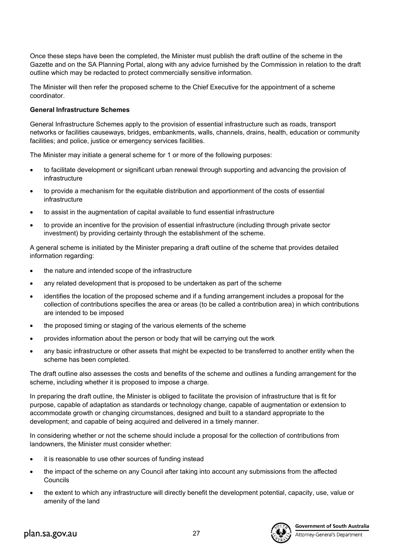Once these steps have been the completed, the Minister must publish the draft outline of the scheme in the Gazette and on the SA Planning Portal, along with any advice furnished by the Commission in relation to the draft outline which may be redacted to protect commercially sensitive information.

The Minister will then refer the proposed scheme to the Chief Executive for the appointment of a scheme coordinator.

#### **General Infrastructure Schemes**

General Infrastructure Schemes apply to the provision of essential infrastructure such as roads, transport networks or facilities causeways, bridges, embankments, walls, channels, drains, health, education or community facilities; and police, justice or emergency services facilities.

The Minister may initiate a general scheme for 1 or more of the following purposes:

- to facilitate development or significant urban renewal through supporting and advancing the provision of infrastructure
- to provide a mechanism for the equitable distribution and apportionment of the costs of essential infrastructure
- to assist in the augmentation of capital available to fund essential infrastructure
- to provide an incentive for the provision of essential infrastructure (including through private sector investment) by providing certainty through the establishment of the scheme.

A general scheme is initiated by the Minister preparing a draft outline of the scheme that provides detailed information regarding:

- the nature and intended scope of the infrastructure
- any related development that is proposed to be undertaken as part of the scheme
- identifies the location of the proposed scheme and if a funding arrangement includes a proposal for the collection of contributions specifies the area or areas (to be called a contribution area) in which contributions are intended to be imposed
- the proposed timing or staging of the various elements of the scheme
- provides information about the person or body that will be carrying out the work
- any basic infrastructure or other assets that might be expected to be transferred to another entity when the scheme has been completed.

The draft outline also assesses the costs and benefits of the scheme and outlines a funding arrangement for the scheme, including whether it is proposed to impose a charge.

In preparing the draft outline, the Minister is obliged to facilitate the provision of infrastructure that is fit for purpose, capable of adaptation as standards or technology change, capable of augmentation or extension to accommodate growth or changing circumstances, designed and built to a standard appropriate to the development; and capable of being acquired and delivered in a timely manner.

In considering whether or not the scheme should include a proposal for the collection of contributions from landowners, the Minister must consider whether:

- it is reasonable to use other sources of funding instead
- the impact of the scheme on any Council after taking into account any submissions from the affected Councils
- the extent to which any infrastructure will directly benefit the development potential, capacity, use, value or amenity of the land

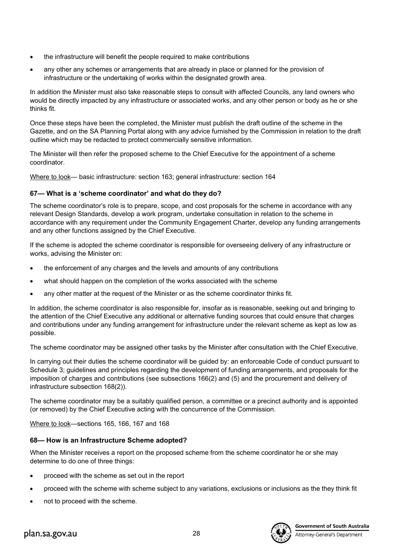- the infrastructure will benefit the people required to make contributions
- any other any schemes or arrangements that are already in place or planned for the provision of infrastructure or the undertaking of works within the designated growth area.

In addition the Minister must also take reasonable steps to consult with affected Councils, any land owners who would be directly impacted by any infrastructure or associated works, and any other person or body as he or she thinks fit.

Once these steps have been the completed, the Minister must publish the draft outline of the scheme in the Gazette, and on the SA Planning Portal along with any advice furnished by the Commission in relation to the draft outline which may be redacted to protect commercially sensitive information.

The Minister will then refer the proposed scheme to the Chief Executive for the appointment of a scheme coordinator.

Where to look— basic infrastructure: section 163; general infrastructure: section 164

# **67— What is a 'scheme coordinator' and what do they do?**

The scheme coordinator's role is to prepare, scope, and cost proposals for the scheme in accordance with any relevant Design Standards, develop a work program, undertake consultation in relation to the scheme in accordance with any requirement under the Community Engagement Charter, develop any funding arrangements and any other functions assigned by the Chief Executive.

If the scheme is adopted the scheme coordinator is responsible for overseeing delivery of any infrastructure or works, advising the Minister on:

- the enforcement of any charges and the levels and amounts of any contributions
- what should happen on the completion of the works associated with the scheme
- any other matter at the request of the Minister or as the scheme coordinator thinks fit.

In addition, the scheme coordinator is also responsible for, insofar as is reasonable, seeking out and bringing to the attention of the Chief Executive any additional or alternative funding sources that could ensure that charges and contributions under any funding arrangement for infrastructure under the relevant scheme as kept as low as possible.

The scheme coordinator may be assigned other tasks by the Minister after consultation with the Chief Executive.

In carrying out their duties the scheme coordinator will be guided by: an enforceable Code of conduct pursuant to Schedule 3; guidelines and principles regarding the development of funding arrangements, and proposals for the imposition of charges and contributions (see subsections 166(2) and (5) and the procurement and delivery of infrastructure subsection 168(2)).

The scheme coordinator may be a suitably qualified person, a committee or a precinct authority and is appointed (or removed) by the Chief Executive acting with the concurrence of the Commission.

Where to look—sections 165, 166, 167 and 168

# **68— How is an Infrastructure Scheme adopted?**

When the Minister receives a report on the proposed scheme from the scheme coordinator he or she may determine to do one of three things:

- proceed with the scheme as set out in the report
- proceed with the scheme with scheme subject to any variations, exclusions or inclusions as the they think fit
- not to proceed with the scheme.

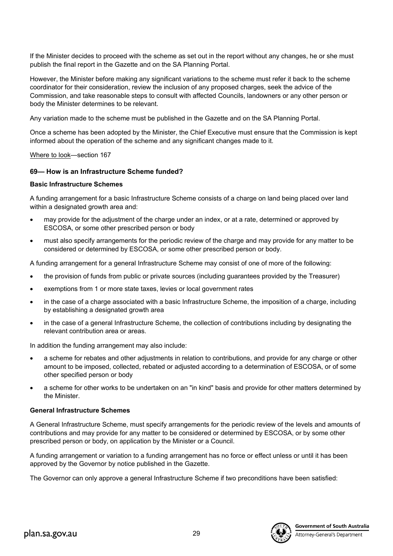If the Minister decides to proceed with the scheme as set out in the report without any changes, he or she must publish the final report in the Gazette and on the SA Planning Portal.

However, the Minister before making any significant variations to the scheme must refer it back to the scheme coordinator for their consideration, review the inclusion of any proposed charges, seek the advice of the Commission, and take reasonable steps to consult with affected Councils, landowners or any other person or body the Minister determines to be relevant.

Any variation made to the scheme must be published in the Gazette and on the SA Planning Portal.

Once a scheme has been adopted by the Minister, the Chief Executive must ensure that the Commission is kept informed about the operation of the scheme and any significant changes made to it.

Where to look—section 167

### **69— How is an Infrastructure Scheme funded?**

#### **Basic Infrastructure Schemes**

A funding arrangement for a basic Infrastructure Scheme consists of a charge on land being placed over land within a designated growth area and:

- may provide for the adjustment of the charge under an index, or at a rate, determined or approved by ESCOSA, or some other prescribed person or body
- must also specify arrangements for the periodic review of the charge and may provide for any matter to be considered or determined by ESCOSA, or some other prescribed person or body.

A funding arrangement for a general Infrastructure Scheme may consist of one of more of the following:

- the provision of funds from public or private sources (including guarantees provided by the Treasurer)
- exemptions from 1 or more state taxes, levies or local government rates
- in the case of a charge associated with a basic Infrastructure Scheme, the imposition of a charge, including by establishing a designated growth area
- in the case of a general Infrastructure Scheme, the collection of contributions including by designating the relevant contribution area or areas.

In addition the funding arrangement may also include:

- a scheme for rebates and other adjustments in relation to contributions, and provide for any charge or other amount to be imposed, collected, rebated or adjusted according to a determination of ESCOSA, or of some other specified person or body
- a scheme for other works to be undertaken on an "in kind" basis and provide for other matters determined by the Minister.

### **General Infrastructure Schemes**

A General Infrastructure Scheme, must specify arrangements for the periodic review of the levels and amounts of contributions and may provide for any matter to be considered or determined by ESCOSA, or by some other prescribed person or body, on application by the Minister or a Council.

A funding arrangement or variation to a funding arrangement has no force or effect unless or until it has been approved by the Governor by notice published in the Gazette.

The Governor can only approve a general Infrastructure Scheme if two preconditions have been satisfied:

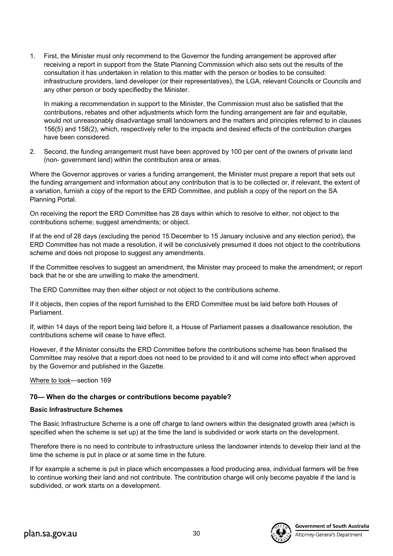1. First, the Minister must only recommend to the Governor the funding arrangement be approved after receiving a report in support from the State Planning Commission which also sets out the results of the consultation it has undertaken in relation to this matter with the person or bodies to be consulted: infrastructure providers, land developer (or their representatives), the LGA, relevant Councils or Councils and any other person or body specifiedby the Minister.

In making a recommendation in support to the Minister, the Commission must also be satisfied that the contributions, rebates and other adjustments which form the funding arrangement are fair and equitable, would not unreasonably disadvantage small landowners and the matters and principles referred to in clauses 156(5) and 158(2), which, respectively refer to the impacts and desired effects of the contribution charges have been considered.

2. Second, the funding arrangement must have been approved by 100 per cent of the owners of private land (non- government land) within the contribution area or areas.

Where the Governor approves or varies a funding arrangement, the Minister must prepare a report that sets out the funding arrangement and information about any contribution that is to be collected or, if relevant, the extent of a variation, furnish a copy of the report to the ERD Committee, and publish a copy of the report on the SA Planning Portal.

On receiving the report the ERD Committee has 28 days within which to resolve to either, not object to the contributions scheme; suggest amendments; or object.

If at the end of 28 days (excluding the period 15 December to 15 January inclusive and any election period), the ERD Committee has not made a resolution, it will be conclusively presumed it does not object to the contributions scheme and does not propose to suggest any amendments.

If the Committee resolves to suggest an amendment, the Minister may proceed to make the amendment; or report back that he or she are unwilling to make the amendment.

The ERD Committee may then either object or not object to the contributions scheme.

If it objects, then copies of the report furnished to the ERD Committee must be laid before both Houses of Parliament.

If, within 14 days of the report being laid before it, a House of Parliament passes a disallowance resolution, the contributions scheme will cease to have effect.

However, if the Minister consults the ERD Committee before the contributions scheme has been finalised the Committee may resolve that a report does not need to be provided to it and will come into effect when approved by the Governor and published in the Gazette.

Where to look—section 169

# **70— When do the charges or contributions become payable?**

# **Basic Infrastructure Schemes**

The Basic Infrastructure Scheme is a one off charge to land owners within the designated growth area (which is specified when the scheme is set up) at the time the land is subdivided or work starts on the development.

Therefore there is no need to contribute to infrastructure unless the landowner intends to develop their land at the time the scheme is put in place or at some time in the future.

If for example a scheme is put in place which encompasses a food producing area, individual farmers will be free to continue working their land and not contribute. The contribution charge will only become payable if the land is subdivided, or work starts on a development.

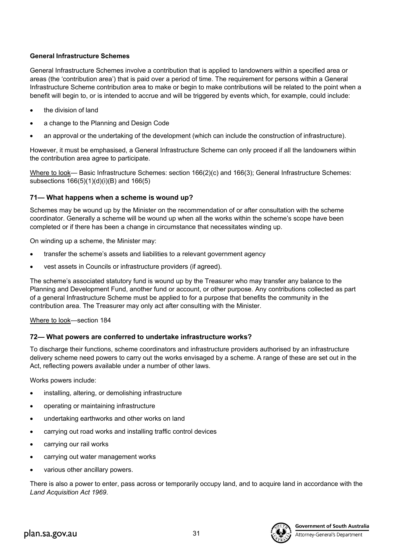# **General Infrastructure Schemes**

General Infrastructure Schemes involve a contribution that is applied to landowners within a specified area or areas (the 'contribution area') that is paid over a period of time. The requirement for persons within a General Infrastructure Scheme contribution area to make or begin to make contributions will be related to the point when a benefit will begin to, or is intended to accrue and will be triggered by events which, for example, could include:

- the division of land
- a change to the Planning and Design Code
- an approval or the undertaking of the development (which can include the construction of infrastructure).

However, it must be emphasised, a General Infrastructure Scheme can only proceed if all the landowners within the contribution area agree to participate.

Where to look— Basic Infrastructure Schemes: section 166(2)(c) and 166(3); General Infrastructure Schemes: subsections 166(5)(1)(d)(i)(B) and 166(5)

# **71— What happens when a scheme is wound up?**

Schemes may be wound up by the Minister on the recommendation of or after consultation with the scheme coordinator. Generally a scheme will be wound up when all the works within the scheme's scope have been completed or if there has been a change in circumstance that necessitates winding up.

On winding up a scheme, the Minister may:

- transfer the scheme's assets and liabilities to a relevant government agency
- vest assets in Councils or infrastructure providers (if agreed).

The scheme's associated statutory fund is wound up by the Treasurer who may transfer any balance to the Planning and Development Fund, another fund or account, or other purpose. Any contributions collected as part of a general Infrastructure Scheme must be applied to for a purpose that benefits the community in the contribution area. The Treasurer may only act after consulting with the Minister.

Where to look—section 184

# **72— What powers are conferred to undertake infrastructure works?**

To discharge their functions, scheme coordinators and infrastructure providers authorised by an infrastructure delivery scheme need powers to carry out the works envisaged by a scheme. A range of these are set out in the Act, reflecting powers available under a number of other laws.

Works powers include:

- installing, altering, or demolishing infrastructure
- operating or maintaining infrastructure
- undertaking earthworks and other works on land
- carrying out road works and installing traffic control devices
- carrying our rail works
- carrying out water management works
- various other ancillary powers.

There is also a power to enter, pass across or temporarily occupy land, and to acquire land in accordance with the *Land Acquisition Act 1969*.

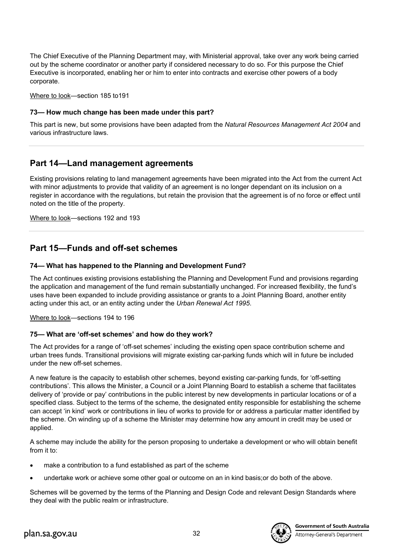The Chief Executive of the Planning Department may, with Ministerial approval, take over any work being carried out by the scheme coordinator or another party if considered necessary to do so. For this purpose the Chief Executive is incorporated, enabling her or him to enter into contracts and exercise other powers of a body corporate.

Where to look—section 185 to191

### **73— How much change has been made under this part?**

This part is new, but some provisions have been adapted from the *Natural Resources Management Act 2004* and various infrastructure laws.

# **Part 14—Land management agreements**

Existing provisions relating to land management agreements have been migrated into the Act from the current Act with minor adjustments to provide that validity of an agreement is no longer dependant on its inclusion on a register in accordance with the regulations, but retain the provision that the agreement is of no force or effect until noted on the title of the property.

Where to look—sections 192 and 193

# **Part 15—Funds and off-set schemes**

### **74— What has happened to the Planning and Development Fund?**

The Act continues existing provisions establishing the Planning and Development Fund and provisions regarding the application and management of the fund remain substantially unchanged. For increased flexibility, the fund's uses have been expanded to include providing assistance or grants to a Joint Planning Board, another entity acting under this act, or an entity acting under the *Urban Renewal Act 1995*.

Where to look—sections 194 to 196

### **75— What are 'off-set schemes' and how do they work?**

The Act provides for a range of 'off-set schemes' including the existing open space contribution scheme and urban trees funds. Transitional provisions will migrate existing car-parking funds which will in future be included under the new off-set schemes.

A new feature is the capacity to establish other schemes, beyond existing car-parking funds, for 'off-setting contributions'. This allows the Minister, a Council or a Joint Planning Board to establish a scheme that facilitates delivery of 'provide or pay' contributions in the public interest by new developments in particular locations or of a specified class. Subject to the terms of the scheme, the designated entity responsible for establishing the scheme can accept 'in kind' work or contributions in lieu of works to provide for or address a particular matter identified by the scheme. On winding up of a scheme the Minister may determine how any amount in credit may be used or applied.

A scheme may include the ability for the person proposing to undertake a development or who will obtain benefit from it to:

- make a contribution to a fund established as part of the scheme
- undertake work or achieve some other goal or outcome on an in kind basis;or do both of the above.

Schemes will be governed by the terms of the Planning and Design Code and relevant Design Standards where they deal with the public realm or infrastructure.

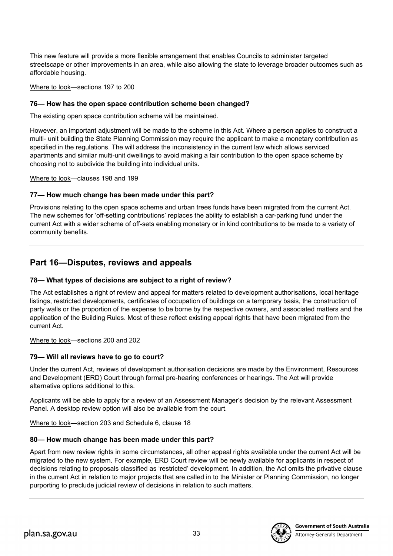This new feature will provide a more flexible arrangement that enables Councils to administer targeted streetscape or other improvements in an area, while also allowing the state to leverage broader outcomes such as affordable housing.

Where to look—sections 197 to 200

# **76— How has the open space contribution scheme been changed?**

The existing open space contribution scheme will be maintained.

However, an important adjustment will be made to the scheme in this Act. Where a person applies to construct a multi- unit building the State Planning Commission may require the applicant to make a monetary contribution as specified in the regulations. The will address the inconsistency in the current law which allows serviced apartments and similar multi-unit dwellings to avoid making a fair contribution to the open space scheme by choosing not to subdivide the building into individual units.

Where to look—clauses 198 and 199

# **77— How much change has been made under this part?**

Provisions relating to the open space scheme and urban trees funds have been migrated from the current Act. The new schemes for 'off-setting contributions' replaces the ability to establish a car-parking fund under the current Act with a wider scheme of off-sets enabling monetary or in kind contributions to be made to a variety of community benefits.

# **Part 16—Disputes, reviews and appeals**

# **78— What types of decisions are subject to a right of review?**

The Act establishes a right of review and appeal for matters related to development authorisations, local heritage listings, restricted developments, certificates of occupation of buildings on a temporary basis, the construction of party walls or the proportion of the expense to be borne by the respective owners, and associated matters and the application of the Building Rules. Most of these reflect existing appeal rights that have been migrated from the current Act.

# Where to look—sections 200 and 202

# **79— Will all reviews have to go to court?**

Under the current Act, reviews of development authorisation decisions are made by the Environment, Resources and Development (ERD) Court through formal pre-hearing conferences or hearings. The Act will provide alternative options additional to this.

Applicants will be able to apply for a review of an Assessment Manager's decision by the relevant Assessment Panel. A desktop review option will also be available from the court.

Where to look—section 203 and Schedule 6, clause 18

# **80— How much change has been made under this part?**

Apart from new review rights in some circumstances, all other appeal rights available under the current Act will be migrated to the new system. For example, ERD Court review will be newly available for applicants in respect of decisions relating to proposals classified as 'restricted' development. In addition, the Act omits the privative clause in the current Act in relation to major projects that are called in to the Minister or Planning Commission, no longer purporting to preclude judicial review of decisions in relation to such matters.

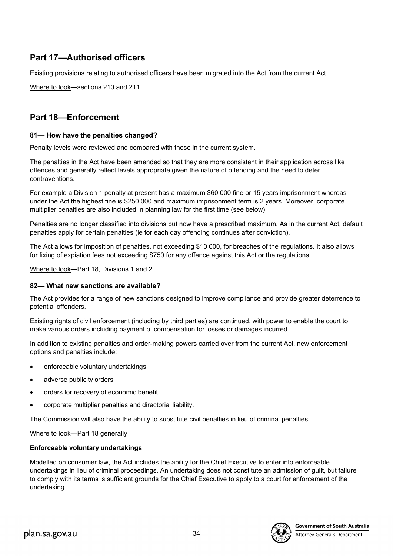# **Part 17—Authorised officers**

Existing provisions relating to authorised officers have been migrated into the Act from the current Act.

Where to look—sections 210 and 211

# **Part 18—Enforcement**

### **81— How have the penalties changed?**

Penalty levels were reviewed and compared with those in the current system.

The penalties in the Act have been amended so that they are more consistent in their application across like offences and generally reflect levels appropriate given the nature of offending and the need to deter contraventions.

For example a Division 1 penalty at present has a maximum \$60 000 fine or 15 years imprisonment whereas under the Act the highest fine is \$250 000 and maximum imprisonment term is 2 years. Moreover, corporate multiplier penalties are also included in planning law for the first time (see below).

Penalties are no longer classified into divisions but now have a prescribed maximum. As in the current Act, default penalties apply for certain penalties (ie for each day offending continues after conviction).

The Act allows for imposition of penalties, not exceeding \$10 000, for breaches of the regulations. It also allows for fixing of expiation fees not exceeding \$750 for any offence against this Act or the regulations.

Where to look—Part 18, Divisions 1 and 2

### **82— What new sanctions are available?**

The Act provides for a range of new sanctions designed to improve compliance and provide greater deterrence to potential offenders.

Existing rights of civil enforcement (including by third parties) are continued, with power to enable the court to make various orders including payment of compensation for losses or damages incurred.

In addition to existing penalties and order-making powers carried over from the current Act, new enforcement options and penalties include:

- enforceable voluntary undertakings
- adverse publicity orders
- orders for recovery of economic benefit
- corporate multiplier penalties and directorial liability.

The Commission will also have the ability to substitute civil penalties in lieu of criminal penalties.

Where to look—Part 18 generally

### **Enforceable voluntary undertakings**

Modelled on consumer law, the Act includes the ability for the Chief Executive to enter into enforceable undertakings in lieu of criminal proceedings. An undertaking does not constitute an admission of guilt, but failure to comply with its terms is sufficient grounds for the Chief Executive to apply to a court for enforcement of the undertaking.

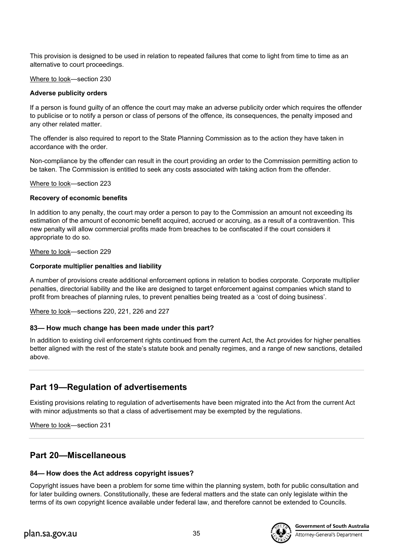This provision is designed to be used in relation to repeated failures that come to light from time to time as an alternative to court proceedings.

Where to look—section 230

### **Adverse publicity orders**

If a person is found guilty of an offence the court may make an adverse publicity order which requires the offender to publicise or to notify a person or class of persons of the offence, its consequences, the penalty imposed and any other related matter.

The offender is also required to report to the State Planning Commission as to the action they have taken in accordance with the order.

Non-compliance by the offender can result in the court providing an order to the Commission permitting action to be taken. The Commission is entitled to seek any costs associated with taking action from the offender.

Where to look—section 223

### **Recovery of economic benefits**

In addition to any penalty, the court may order a person to pay to the Commission an amount not exceeding its estimation of the amount of economic benefit acquired, accrued or accruing, as a result of a contravention. This new penalty will allow commercial profits made from breaches to be confiscated if the court considers it appropriate to do so.

### Where to look—section 229

### **Corporate multiplier penalties and liability**

A number of provisions create additional enforcement options in relation to bodies corporate. Corporate multiplier penalties, directorial liability and the like are designed to target enforcement against companies which stand to profit from breaches of planning rules, to prevent penalties being treated as a 'cost of doing business'.

Where to look—sections 220, 221, 226 and 227

# **83— How much change has been made under this part?**

In addition to existing civil enforcement rights continued from the current Act, the Act provides for higher penalties better aligned with the rest of the state's statute book and penalty regimes, and a range of new sanctions, detailed above.

# **Part 19—Regulation of advertisements**

Existing provisions relating to regulation of advertisements have been migrated into the Act from the current Act with minor adjustments so that a class of advertisement may be exempted by the regulations.

Where to look—section 231

# **Part 20—Miscellaneous**

# **84— How does the Act address copyright issues?**

Copyright issues have been a problem for some time within the planning system, both for public consultation and for later building owners. Constitutionally, these are federal matters and the state can only legislate within the terms of its own copyright licence available under federal law, and therefore cannot be extended to Councils.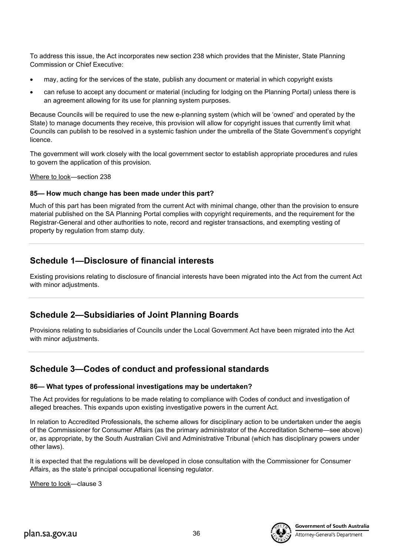To address this issue, the Act incorporates new section 238 which provides that the Minister, State Planning Commission or Chief Executive:

- may, acting for the services of the state, publish any document or material in which copyright exists
- can refuse to accept any document or material (including for lodging on the Planning Portal) unless there is an agreement allowing for its use for planning system purposes.

Because Councils will be required to use the new e-planning system (which will be 'owned' and operated by the State) to manage documents they receive, this provision will allow for copyright issues that currently limit what Councils can publish to be resolved in a systemic fashion under the umbrella of the State Government's copyright licence.

The government will work closely with the local government sector to establish appropriate procedures and rules to govern the application of this provision.

Where to look—section 238

### **85— How much change has been made under this part?**

Much of this part has been migrated from the current Act with minimal change, other than the provision to ensure material published on the SA Planning Portal complies with copyright requirements, and the requirement for the Registrar-General and other authorities to note, record and register transactions, and exempting vesting of property by regulation from stamp duty.

# **Schedule 1—Disclosure of financial interests**

Existing provisions relating to disclosure of financial interests have been migrated into the Act from the current Act with minor adjustments.

# **Schedule 2—Subsidiaries of Joint Planning Boards**

Provisions relating to subsidiaries of Councils under the Local Government Act have been migrated into the Act with minor adjustments.

# **Schedule 3—Codes of conduct and professional standards**

### **86— What types of professional investigations may be undertaken?**

The Act provides for regulations to be made relating to compliance with Codes of conduct and investigation of alleged breaches. This expands upon existing investigative powers in the current Act.

In relation to Accredited Professionals, the scheme allows for disciplinary action to be undertaken under the aegis of the Commissioner for Consumer Affairs (as the primary administrator of the Accreditation Scheme—see above) or, as appropriate, by the South Australian Civil and Administrative Tribunal (which has disciplinary powers under other laws).

It is expected that the regulations will be developed in close consultation with the Commissioner for Consumer Affairs, as the state's principal occupational licensing regulator.

Where to look—clause 3



Attorney-General's Department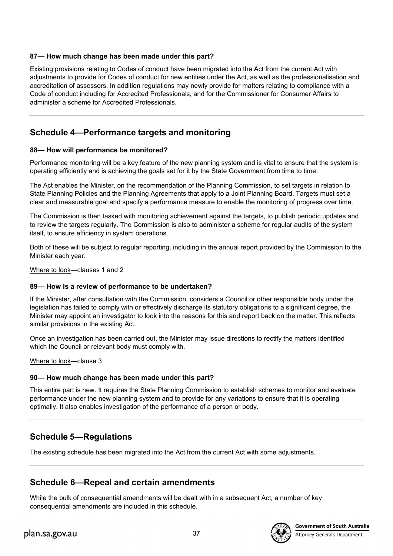# **87— How much change has been made under this part?**

Existing provisions relating to Codes of conduct have been migrated into the Act from the current Act with adjustments to provide for Codes of conduct for new entities under the Act, as well as the professionalisation and accreditation of assessors. In addition regulations may newly provide for matters relating to compliance with a Code of conduct including for Accredited Professionals, and for the Commissioner for Consumer Affairs to administer a scheme for Accredited Professionals.

# **Schedule 4—Performance targets and monitoring**

# **88— How will performance be monitored?**

Performance monitoring will be a key feature of the new planning system and is vital to ensure that the system is operating efficiently and is achieving the goals set for it by the State Government from time to time.

The Act enables the Minister, on the recommendation of the Planning Commission, to set targets in relation to State Planning Policies and the Planning Agreements that apply to a Joint Planning Board. Targets must set a clear and measurable goal and specify a performance measure to enable the monitoring of progress over time.

The Commission is then tasked with monitoring achievement against the targets, to publish periodic updates and to review the targets regularly. The Commission is also to administer a scheme for regular audits of the system itself, to ensure efficiency in system operations.

Both of these will be subject to regular reporting, including in the annual report provided by the Commission to the Minister each year.

Where to look—clauses 1 and 2

# **89— How is a review of performance to be undertaken?**

If the Minister, after consultation with the Commission, considers a Council or other responsible body under the legislation has failed to comply with or effectively discharge its statutory obligations to a significant degree, the Minister may appoint an investigator to look into the reasons for this and report back on the matter. This reflects similar provisions in the existing Act.

Once an investigation has been carried out, the Minister may issue directions to rectify the matters identified which the Council or relevant body must comply with.

Where to look—clause 3

# **90— How much change has been made under this part?**

This entire part is new. It requires the State Planning Commission to establish schemes to monitor and evaluate performance under the new planning system and to provide for any variations to ensure that it is operating optimally. It also enables investigation of the performance of a person or body.

# **Schedule 5—Regulations**

The existing schedule has been migrated into the Act from the current Act with some adjustments.

# **Schedule 6—Repeal and certain amendments**

While the bulk of consequential amendments will be dealt with in a subsequent Act, a number of key consequential amendments are included in this schedule.

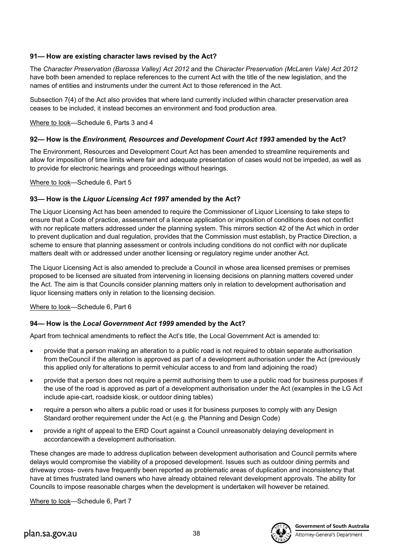# **91— How are existing character laws revised by the Act?**

The *Character Preservation (Barossa Valley) Act 2012* and the *Character Preservation (McLaren Vale) Act 2012* have both been amended to replace references to the current Act with the title of the new legislation, and the names of entities and instruments under the current Act to those referenced in the Act.

Subsection 7(4) of the Act also provides that where land currently included within character preservation area ceases to be included, it instead becomes an environment and food production area.

Where to look—Schedule 6, Parts 3 and 4

### **92— How is the** *Environment, Resources and Development Court Act 1993* **amended by the Act?**

The Environment, Resources and Development Court Act has been amended to streamline requirements and allow for imposition of time limits where fair and adequate presentation of cases would not be impeded, as well as to provide for electronic hearings and proceedings without hearings.

Where to look—Schedule 6, Part 5

# **93— How is the** *Liquor Licensing Act 1997* **amended by the Act?**

The Liquor Licensing Act has been amended to require the Commissioner of Liquor Licensing to take steps to ensure that a Code of practice, assessment of a licence application or imposition of conditions does not conflict with nor replicate matters addressed under the planning system. This mirrors section 42 of the Act which in order to prevent duplication and dual regulation, provides that the Commission must establish, by Practice Direction, a scheme to ensure that planning assessment or controls including conditions do not conflict with nor duplicate matters dealt with or addressed under another licensing or regulatory regime under another Act.

The Liquor Licensing Act is also amended to preclude a Council in whose area licensed premises or premises proposed to be licensed are situated from intervening in licensing decisions on planning matters covered under the Act. The aim is that Councils consider planning matters only in relation to development authorisation and liquor licensing matters only in relation to the licensing decision.

Where to look—Schedule 6, Part 6

# **94— How is the** *Local Government Act 1999* **amended by the Act?**

Apart from technical amendments to reflect the Act's title, the Local Government Act is amended to:

- provide that a person making an alteration to a public road is not required to obtain separate authorisation from theCouncil if the alteration is approved as part of a development authorisation under the Act (previously this applied only for alterations to permit vehicular access to and from land adjoining the road)
- provide that a person does not require a permit authorising them to use a public road for business purposes if the use of the road is approved as part of a development authorisation under the Act (examples in the LG Act include apie-cart, roadside kiosk, or outdoor dining tables)
- require a person who alters a public road or uses it for business purposes to comply with any Design Standard orother requirement under the Act (e.g. the Planning and Design Code)
- provide a right of appeal to the ERD Court against a Council unreasonably delaying development in accordancewith a development authorisation.

These changes are made to address duplication between development authorisation and Council permits where delays would compromise the viability of a proposed development. Issues such as outdoor dining permits and driveway cross- overs have frequently been reported as problematic areas of duplication and inconsistency that have at times frustrated land owners who have already obtained relevant development approvals. The ability for Councils to impose reasonable charges when the development is undertaken will however be retained.

Where to look—Schedule 6, Part 7